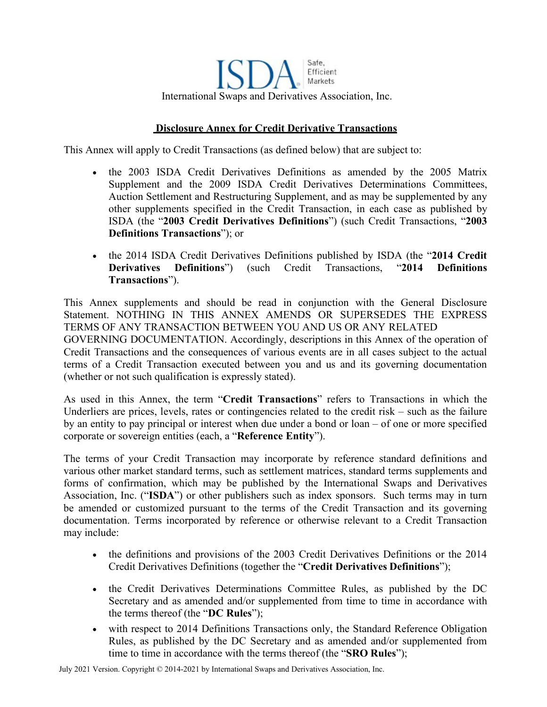Safe, Efficient Markets International Swaps and Derivatives Association, Inc.

## **Disclosure Annex for Credit Derivative Transactions**

This Annex will apply to Credit Transactions (as defined below) that are subject to:

- the 2003 ISDA Credit Derivatives Definitions as amended by the 2005 Matrix Supplement and the 2009 ISDA Credit Derivatives Determinations Committees, Auction Settlement and Restructuring Supplement, and as may be supplemented by any other supplements specified in the Credit Transaction, in each case as published by ISDA (the "**2003 Credit Derivatives Definitions**") (such Credit Transactions, "**2003 Definitions Transactions**"); or
- the 2014 ISDA Credit Derivatives Definitions published by ISDA (the "**2014 Credit Derivatives Definitions**") (such Credit Transactions, "**2014 Definitions Transactions**").

This Annex supplements and should be read in conjunction with the General Disclosure Statement. NOTHING IN THIS ANNEX AMENDS OR SUPERSEDES THE EXPRESS TERMS OF ANY TRANSACTION BETWEEN YOU AND US OR ANY RELATED GOVERNING DOCUMENTATION. Accordingly, descriptions in this Annex of the operation of Credit Transactions and the consequences of various events are in all cases subject to the actual terms of a Credit Transaction executed between you and us and its governing documentation (whether or not such qualification is expressly stated).

As used in this Annex, the term "**Credit Transactions**" refers to Transactions in which the Underliers are prices, levels, rates or contingencies related to the credit risk – such as the failure by an entity to pay principal or interest when due under a bond or loan – of one or more specified corporate or sovereign entities (each, a "**Reference Entity**").

The terms of your Credit Transaction may incorporate by reference standard definitions and various other market standard terms, such as settlement matrices, standard terms supplements and forms of confirmation, which may be published by the International Swaps and Derivatives Association, Inc. ("**ISDA**") or other publishers such as index sponsors. Such terms may in turn be amended or customized pursuant to the terms of the Credit Transaction and its governing documentation. Terms incorporated by reference or otherwise relevant to a Credit Transaction may include:

- the definitions and provisions of the 2003 Credit Derivatives Definitions or the 2014 Credit Derivatives Definitions (together the "**Credit Derivatives Definitions**");
- the Credit Derivatives Determinations Committee Rules, as published by the DC Secretary and as amended and/or supplemented from time to time in accordance with the terms thereof (the "**DC Rules**");
- with respect to 2014 Definitions Transactions only, the Standard Reference Obligation Rules, as published by the DC Secretary and as amended and/or supplemented from time to time in accordance with the terms thereof (the "**SRO Rules**");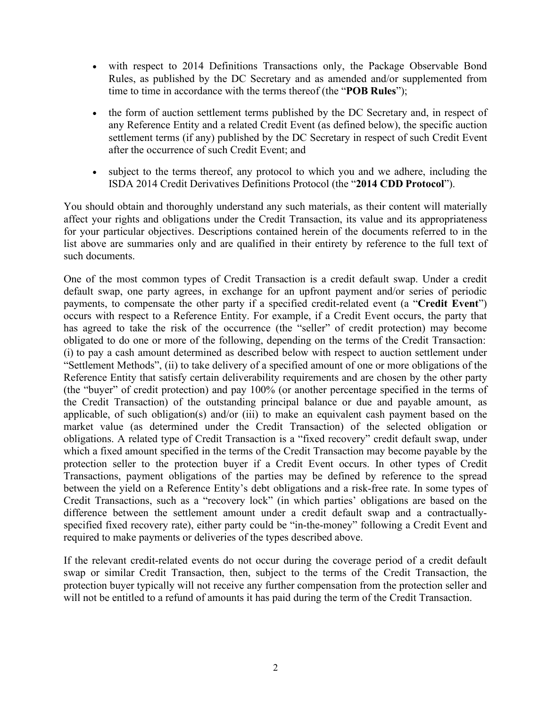- with respect to 2014 Definitions Transactions only, the Package Observable Bond Rules, as published by the DC Secretary and as amended and/or supplemented from time to time in accordance with the terms thereof (the "**POB Rules**");
- the form of auction settlement terms published by the DC Secretary and, in respect of any Reference Entity and a related Credit Event (as defined below), the specific auction settlement terms (if any) published by the DC Secretary in respect of such Credit Event after the occurrence of such Credit Event; and
- subject to the terms thereof, any protocol to which you and we adhere, including the ISDA 2014 Credit Derivatives Definitions Protocol (the "**2014 CDD Protocol**").

You should obtain and thoroughly understand any such materials, as their content will materially affect your rights and obligations under the Credit Transaction, its value and its appropriateness for your particular objectives. Descriptions contained herein of the documents referred to in the list above are summaries only and are qualified in their entirety by reference to the full text of such documents.

One of the most common types of Credit Transaction is a credit default swap. Under a credit default swap, one party agrees, in exchange for an upfront payment and/or series of periodic payments, to compensate the other party if a specified credit-related event (a "**Credit Event**") occurs with respect to a Reference Entity. For example, if a Credit Event occurs, the party that has agreed to take the risk of the occurrence (the "seller" of credit protection) may become obligated to do one or more of the following, depending on the terms of the Credit Transaction: (i) to pay a cash amount determined as described below with respect to auction settlement under "Settlement Methods", (ii) to take delivery of a specified amount of one or more obligations of the Reference Entity that satisfy certain deliverability requirements and are chosen by the other party (the "buyer" of credit protection) and pay 100% (or another percentage specified in the terms of the Credit Transaction) of the outstanding principal balance or due and payable amount, as applicable, of such obligation(s) and/or (iii) to make an equivalent cash payment based on the market value (as determined under the Credit Transaction) of the selected obligation or obligations. A related type of Credit Transaction is a "fixed recovery" credit default swap, under which a fixed amount specified in the terms of the Credit Transaction may become payable by the protection seller to the protection buyer if a Credit Event occurs. In other types of Credit Transactions, payment obligations of the parties may be defined by reference to the spread between the yield on a Reference Entity's debt obligations and a risk-free rate. In some types of Credit Transactions, such as a "recovery lock" (in which parties' obligations are based on the difference between the settlement amount under a credit default swap and a contractuallyspecified fixed recovery rate), either party could be "in-the-money" following a Credit Event and required to make payments or deliveries of the types described above.

If the relevant credit-related events do not occur during the coverage period of a credit default swap or similar Credit Transaction, then, subject to the terms of the Credit Transaction, the protection buyer typically will not receive any further compensation from the protection seller and will not be entitled to a refund of amounts it has paid during the term of the Credit Transaction.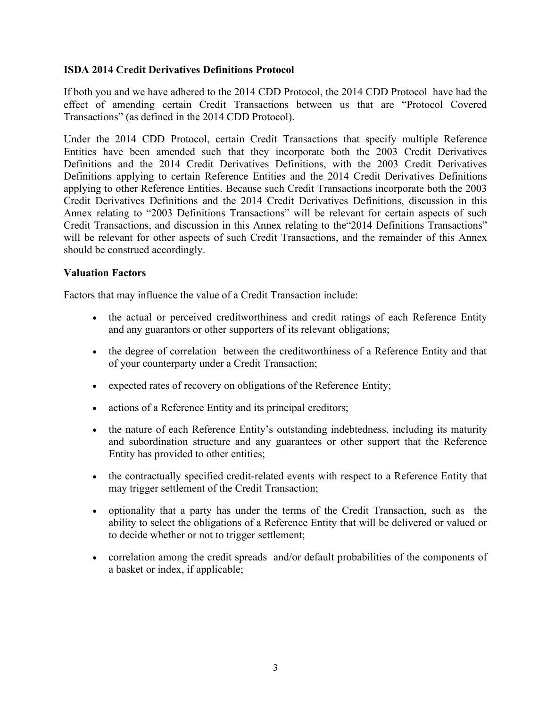## **ISDA 2014 Credit Derivatives Definitions Protocol**

If both you and we have adhered to the 2014 CDD Protocol, the 2014 CDD Protocol have had the effect of amending certain Credit Transactions between us that are "Protocol Covered Transactions" (as defined in the 2014 CDD Protocol).

Under the 2014 CDD Protocol, certain Credit Transactions that specify multiple Reference Entities have been amended such that they incorporate both the 2003 Credit Derivatives Definitions and the 2014 Credit Derivatives Definitions, with the 2003 Credit Derivatives Definitions applying to certain Reference Entities and the 2014 Credit Derivatives Definitions applying to other Reference Entities. Because such Credit Transactions incorporate both the 2003 Credit Derivatives Definitions and the 2014 Credit Derivatives Definitions, discussion in this Annex relating to "2003 Definitions Transactions" will be relevant for certain aspects of such Credit Transactions, and discussion in this Annex relating to the"2014 Definitions Transactions" will be relevant for other aspects of such Credit Transactions, and the remainder of this Annex should be construed accordingly.

## **Valuation Factors**

Factors that may influence the value of a Credit Transaction include:

- the actual or perceived creditworthiness and credit ratings of each Reference Entity and any guarantors or other supporters of its relevant obligations;
- the degree of correlation between the creditworthiness of a Reference Entity and that of your counterparty under a Credit Transaction;
- expected rates of recovery on obligations of the Reference Entity;
- actions of a Reference Entity and its principal creditors;
- the nature of each Reference Entity's outstanding indebtedness, including its maturity and subordination structure and any guarantees or other support that the Reference Entity has provided to other entities;
- the contractually specified credit-related events with respect to a Reference Entity that may trigger settlement of the Credit Transaction;
- optionality that a party has under the terms of the Credit Transaction, such as the ability to select the obligations of a Reference Entity that will be delivered or valued or to decide whether or not to trigger settlement;
- correlation among the credit spreads and/or default probabilities of the components of a basket or index, if applicable;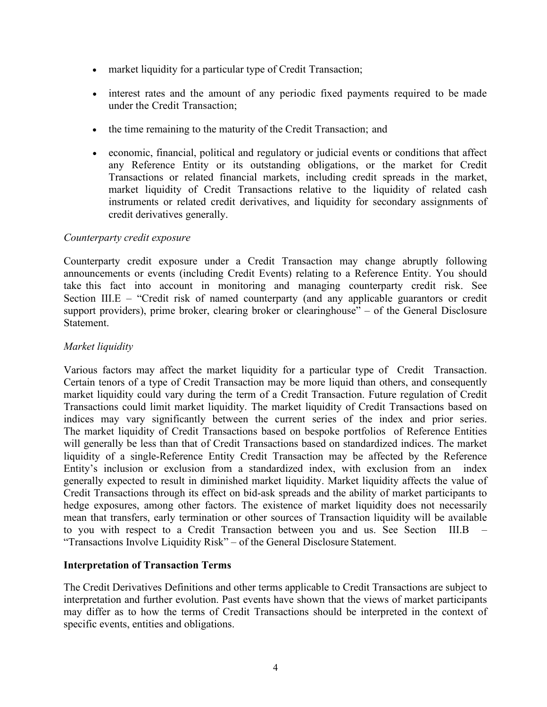- market liquidity for a particular type of Credit Transaction;
- interest rates and the amount of any periodic fixed payments required to be made under the Credit Transaction;
- the time remaining to the maturity of the Credit Transaction; and
- economic, financial, political and regulatory or judicial events or conditions that affect any Reference Entity or its outstanding obligations, or the market for Credit Transactions or related financial markets, including credit spreads in the market, market liquidity of Credit Transactions relative to the liquidity of related cash instruments or related credit derivatives, and liquidity for secondary assignments of credit derivatives generally.

#### *Counterparty credit exposure*

Counterparty credit exposure under a Credit Transaction may change abruptly following announcements or events (including Credit Events) relating to a Reference Entity. You should take this fact into account in monitoring and managing counterparty credit risk. See Section III.E – "Credit risk of named counterparty (and any applicable guarantors or credit support providers), prime broker, clearing broker or clearinghouse" – of the General Disclosure Statement.

#### *Market liquidity*

Various factors may affect the market liquidity for a particular type of Credit Transaction. Certain tenors of a type of Credit Transaction may be more liquid than others, and consequently market liquidity could vary during the term of a Credit Transaction. Future regulation of Credit Transactions could limit market liquidity. The market liquidity of Credit Transactions based on indices may vary significantly between the current series of the index and prior series. The market liquidity of Credit Transactions based on bespoke portfolios of Reference Entities will generally be less than that of Credit Transactions based on standardized indices. The market liquidity of a single-Reference Entity Credit Transaction may be affected by the Reference Entity's inclusion or exclusion from a standardized index, with exclusion from an index generally expected to result in diminished market liquidity. Market liquidity affects the value of Credit Transactions through its effect on bid-ask spreads and the ability of market participants to hedge exposures, among other factors. The existence of market liquidity does not necessarily mean that transfers, early termination or other sources of Transaction liquidity will be available to you with respect to a Credit Transaction between you and us. See Section III.B – "Transactions Involve Liquidity Risk" – of the General Disclosure Statement.

#### **Interpretation of Transaction Terms**

The Credit Derivatives Definitions and other terms applicable to Credit Transactions are subject to interpretation and further evolution. Past events have shown that the views of market participants may differ as to how the terms of Credit Transactions should be interpreted in the context of specific events, entities and obligations.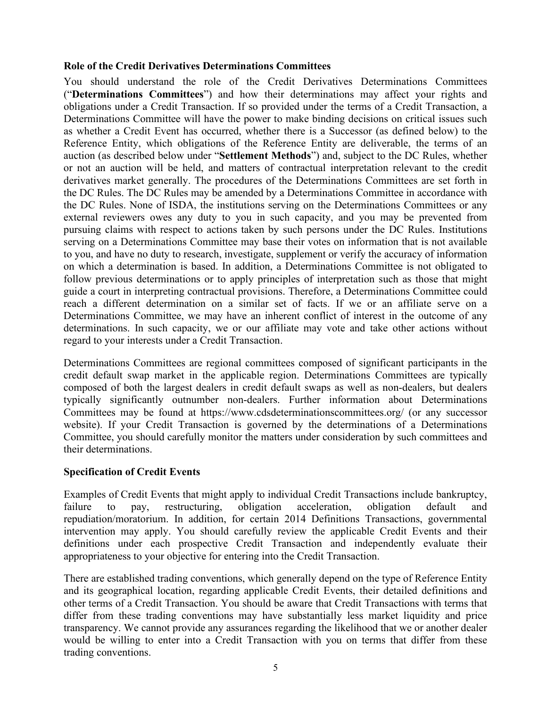### **Role of the Credit Derivatives Determinations Committees**

You should understand the role of the Credit Derivatives Determinations Committees ("**Determinations Committees**") and how their determinations may affect your rights and obligations under a Credit Transaction. If so provided under the terms of a Credit Transaction, a Determinations Committee will have the power to make binding decisions on critical issues such as whether a Credit Event has occurred, whether there is a Successor (as defined below) to the Reference Entity, which obligations of the Reference Entity are deliverable, the terms of an auction (as described below under "**Settlement Methods**") and, subject to the DC Rules, whether or not an auction will be held, and matters of contractual interpretation relevant to the credit derivatives market generally. The procedures of the Determinations Committees are set forth in the DC Rules. The DC Rules may be amended by a Determinations Committee in accordance with the DC Rules. None of ISDA, the institutions serving on the Determinations Committees or any external reviewers owes any duty to you in such capacity, and you may be prevented from pursuing claims with respect to actions taken by such persons under the DC Rules. Institutions serving on a Determinations Committee may base their votes on information that is not available to you, and have no duty to research, investigate, supplement or verify the accuracy of information on which a determination is based. In addition, a Determinations Committee is not obligated to follow previous determinations or to apply principles of interpretation such as those that might guide a court in interpreting contractual provisions. Therefore, a Determinations Committee could reach a different determination on a similar set of facts. If we or an affiliate serve on a Determinations Committee, we may have an inherent conflict of interest in the outcome of any determinations. In such capacity, we or our affiliate may vote and take other actions without regard to your interests under a Credit Transaction.

Determinations Committees are regional committees composed of significant participants in the credit default swap market in the applicable region. Determinations Committees are typically composed of both the largest dealers in credit default swaps as well as non-dealers, but dealers typically significantly outnumber non-dealers. Further information about Determinations Committees may be found at https://www.cdsdeterminationscommittees.org/ (or any successor website). If your Credit Transaction is governed by the determinations of a Determinations Committee, you should carefully monitor the matters under consideration by such committees and their determinations.

# **Specification of Credit Events**

Examples of Credit Events that might apply to individual Credit Transactions include bankruptcy, failure to pay, restructuring, obligation acceleration, obligation default and repudiation/moratorium. In addition, for certain 2014 Definitions Transactions, governmental intervention may apply. You should carefully review the applicable Credit Events and their definitions under each prospective Credit Transaction and independently evaluate their appropriateness to your objective for entering into the Credit Transaction.

There are established trading conventions, which generally depend on the type of Reference Entity and its geographical location, regarding applicable Credit Events, their detailed definitions and other terms of a Credit Transaction. You should be aware that Credit Transactions with terms that differ from these trading conventions may have substantially less market liquidity and price transparency. We cannot provide any assurances regarding the likelihood that we or another dealer would be willing to enter into a Credit Transaction with you on terms that differ from these trading conventions.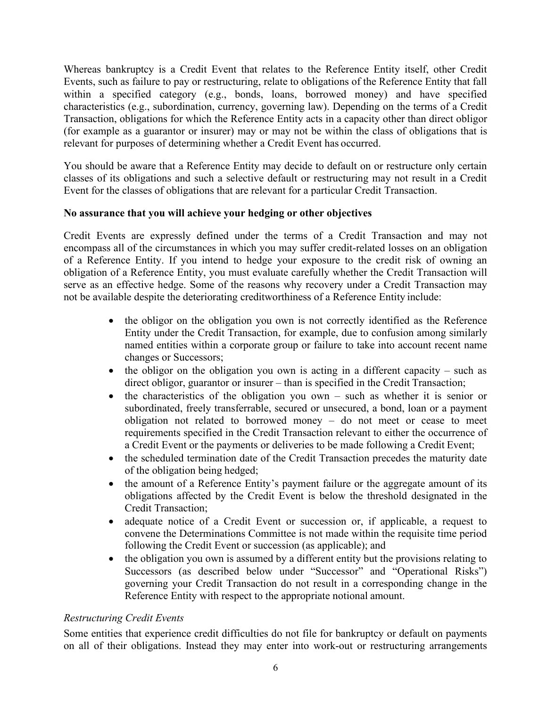Whereas bankruptcy is a Credit Event that relates to the Reference Entity itself, other Credit Events, such as failure to pay or restructuring, relate to obligations of the Reference Entity that fall within a specified category (e.g., bonds, loans, borrowed money) and have specified characteristics (e.g., subordination, currency, governing law). Depending on the terms of a Credit Transaction, obligations for which the Reference Entity acts in a capacity other than direct obligor (for example as a guarantor or insurer) may or may not be within the class of obligations that is relevant for purposes of determining whether a Credit Event has occurred.

You should be aware that a Reference Entity may decide to default on or restructure only certain classes of its obligations and such a selective default or restructuring may not result in a Credit Event for the classes of obligations that are relevant for a particular Credit Transaction.

## **No assurance that you will achieve your hedging or other objectives**

Credit Events are expressly defined under the terms of a Credit Transaction and may not encompass all of the circumstances in which you may suffer credit-related losses on an obligation of a Reference Entity. If you intend to hedge your exposure to the credit risk of owning an obligation of a Reference Entity, you must evaluate carefully whether the Credit Transaction will serve as an effective hedge. Some of the reasons why recovery under a Credit Transaction may not be available despite the deteriorating creditworthiness of a Reference Entity include:

- the obligor on the obligation you own is not correctly identified as the Reference Entity under the Credit Transaction, for example, due to confusion among similarly named entities within a corporate group or failure to take into account recent name changes or Successors;
- the obligor on the obligation you own is acting in a different capacity such as direct obligor, guarantor or insurer – than is specified in the Credit Transaction;
- the characteristics of the obligation you own such as whether it is senior or subordinated, freely transferrable, secured or unsecured, a bond, loan or a payment obligation not related to borrowed money – do not meet or cease to meet requirements specified in the Credit Transaction relevant to either the occurrence of a Credit Event or the payments or deliveries to be made following a Credit Event;
- the scheduled termination date of the Credit Transaction precedes the maturity date of the obligation being hedged;
- the amount of a Reference Entity's payment failure or the aggregate amount of its obligations affected by the Credit Event is below the threshold designated in the Credit Transaction;
- adequate notice of a Credit Event or succession or, if applicable, a request to convene the Determinations Committee is not made within the requisite time period following the Credit Event or succession (as applicable); and
- the obligation you own is assumed by a different entity but the provisions relating to Successors (as described below under "Successor" and "Operational Risks") governing your Credit Transaction do not result in a corresponding change in the Reference Entity with respect to the appropriate notional amount.

# *Restructuring Credit Events*

Some entities that experience credit difficulties do not file for bankruptcy or default on payments on all of their obligations. Instead they may enter into work-out or restructuring arrangements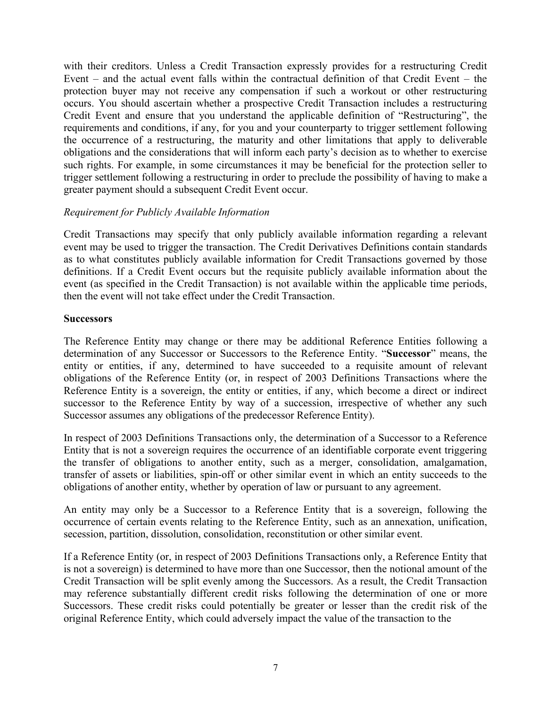with their creditors. Unless a Credit Transaction expressly provides for a restructuring Credit Event – and the actual event falls within the contractual definition of that Credit Event – the protection buyer may not receive any compensation if such a workout or other restructuring occurs. You should ascertain whether a prospective Credit Transaction includes a restructuring Credit Event and ensure that you understand the applicable definition of "Restructuring", the requirements and conditions, if any, for you and your counterparty to trigger settlement following the occurrence of a restructuring, the maturity and other limitations that apply to deliverable obligations and the considerations that will inform each party's decision as to whether to exercise such rights. For example, in some circumstances it may be beneficial for the protection seller to trigger settlement following a restructuring in order to preclude the possibility of having to make a greater payment should a subsequent Credit Event occur.

#### *Requirement for Publicly Available Information*

Credit Transactions may specify that only publicly available information regarding a relevant event may be used to trigger the transaction. The Credit Derivatives Definitions contain standards as to what constitutes publicly available information for Credit Transactions governed by those definitions. If a Credit Event occurs but the requisite publicly available information about the event (as specified in the Credit Transaction) is not available within the applicable time periods, then the event will not take effect under the Credit Transaction.

#### **Successors**

The Reference Entity may change or there may be additional Reference Entities following a determination of any Successor or Successors to the Reference Entity. "**Successor**" means, the entity or entities, if any, determined to have succeeded to a requisite amount of relevant obligations of the Reference Entity (or, in respect of 2003 Definitions Transactions where the Reference Entity is a sovereign, the entity or entities, if any, which become a direct or indirect successor to the Reference Entity by way of a succession, irrespective of whether any such Successor assumes any obligations of the predecessor Reference Entity).

In respect of 2003 Definitions Transactions only, the determination of a Successor to a Reference Entity that is not a sovereign requires the occurrence of an identifiable corporate event triggering the transfer of obligations to another entity, such as a merger, consolidation, amalgamation, transfer of assets or liabilities, spin-off or other similar event in which an entity succeeds to the obligations of another entity, whether by operation of law or pursuant to any agreement.

An entity may only be a Successor to a Reference Entity that is a sovereign, following the occurrence of certain events relating to the Reference Entity, such as an annexation, unification, secession, partition, dissolution, consolidation, reconstitution or other similar event.

If a Reference Entity (or, in respect of 2003 Definitions Transactions only, a Reference Entity that is not a sovereign) is determined to have more than one Successor, then the notional amount of the Credit Transaction will be split evenly among the Successors. As a result, the Credit Transaction may reference substantially different credit risks following the determination of one or more Successors. These credit risks could potentially be greater or lesser than the credit risk of the original Reference Entity, which could adversely impact the value of the transaction to the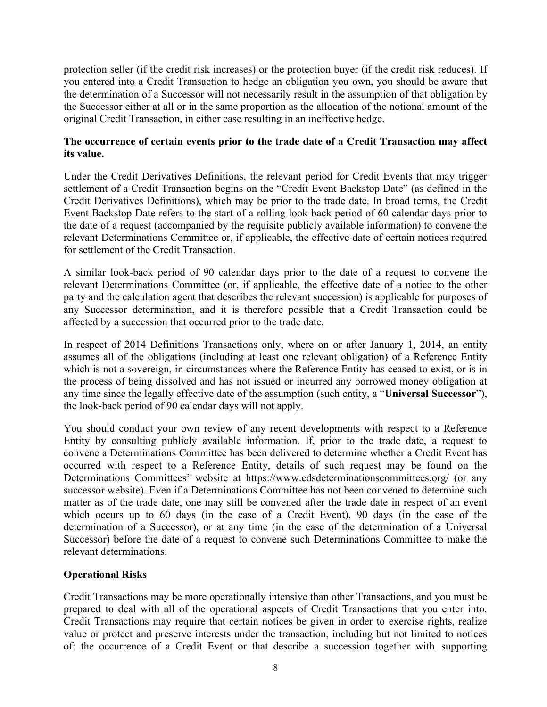protection seller (if the credit risk increases) or the protection buyer (if the credit risk reduces). If you entered into a Credit Transaction to hedge an obligation you own, you should be aware that the determination of a Successor will not necessarily result in the assumption of that obligation by the Successor either at all or in the same proportion as the allocation of the notional amount of the original Credit Transaction, in either case resulting in an ineffective hedge.

## **The occurrence of certain events prior to the trade date of a Credit Transaction may affect its value.**

Under the Credit Derivatives Definitions, the relevant period for Credit Events that may trigger settlement of a Credit Transaction begins on the "Credit Event Backstop Date" (as defined in the Credit Derivatives Definitions), which may be prior to the trade date. In broad terms, the Credit Event Backstop Date refers to the start of a rolling look-back period of 60 calendar days prior to the date of a request (accompanied by the requisite publicly available information) to convene the relevant Determinations Committee or, if applicable, the effective date of certain notices required for settlement of the Credit Transaction.

A similar look-back period of 90 calendar days prior to the date of a request to convene the relevant Determinations Committee (or, if applicable, the effective date of a notice to the other party and the calculation agent that describes the relevant succession) is applicable for purposes of any Successor determination, and it is therefore possible that a Credit Transaction could be affected by a succession that occurred prior to the trade date.

In respect of 2014 Definitions Transactions only, where on or after January 1, 2014, an entity assumes all of the obligations (including at least one relevant obligation) of a Reference Entity which is not a sovereign, in circumstances where the Reference Entity has ceased to exist, or is in the process of being dissolved and has not issued or incurred any borrowed money obligation at any time since the legally effective date of the assumption (such entity, a "**Universal Successor**"), the look-back period of 90 calendar days will not apply.

You should conduct your own review of any recent developments with respect to a Reference Entity by consulting publicly available information. If, prior to the trade date, a request to convene a Determinations Committee has been delivered to determine whether a Credit Event has occurred with respect to a Reference Entity, details of such request may be found on the Determinations Committees' website at https://www.cdsdeterminationscommittees.org/ (or any successor website). Even if a Determinations Committee has not been convened to determine such matter as of the trade date, one may still be convened after the trade date in respect of an event which occurs up to 60 days (in the case of a Credit Event), 90 days (in the case of the determination of a Successor), or at any time (in the case of the determination of a Universal Successor) before the date of a request to convene such Determinations Committee to make the relevant determinations.

# **Operational Risks**

Credit Transactions may be more operationally intensive than other Transactions, and you must be prepared to deal with all of the operational aspects of Credit Transactions that you enter into. Credit Transactions may require that certain notices be given in order to exercise rights, realize value or protect and preserve interests under the transaction, including but not limited to notices of: the occurrence of a Credit Event or that describe a succession together with supporting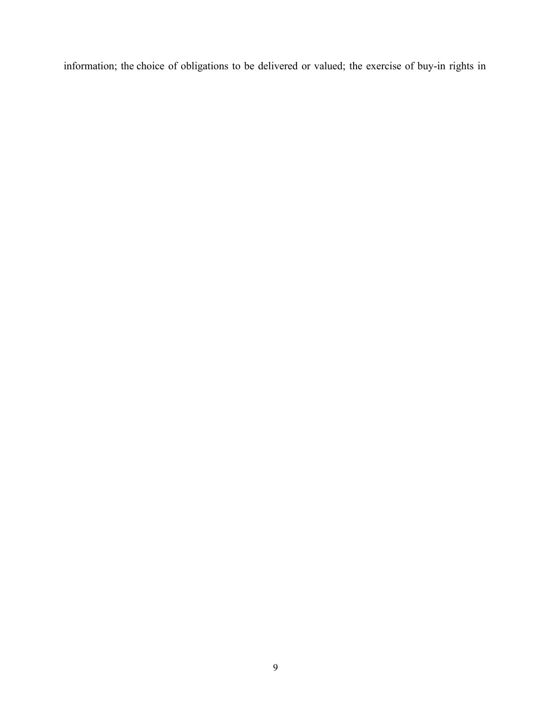information; the choice of obligations to be delivered or valued; the exercise of buy-in rights in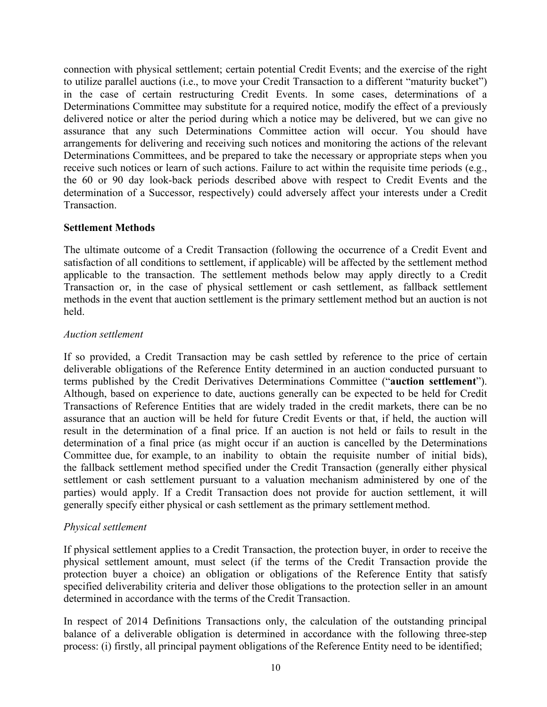connection with physical settlement; certain potential Credit Events; and the exercise of the right to utilize parallel auctions (i.e., to move your Credit Transaction to a different "maturity bucket") in the case of certain restructuring Credit Events. In some cases, determinations of a Determinations Committee may substitute for a required notice, modify the effect of a previously delivered notice or alter the period during which a notice may be delivered, but we can give no assurance that any such Determinations Committee action will occur. You should have arrangements for delivering and receiving such notices and monitoring the actions of the relevant Determinations Committees, and be prepared to take the necessary or appropriate steps when you receive such notices or learn of such actions. Failure to act within the requisite time periods (e.g., the 60 or 90 day look-back periods described above with respect to Credit Events and the determination of a Successor, respectively) could adversely affect your interests under a Credit Transaction.

## **Settlement Methods**

The ultimate outcome of a Credit Transaction (following the occurrence of a Credit Event and satisfaction of all conditions to settlement, if applicable) will be affected by the settlement method applicable to the transaction. The settlement methods below may apply directly to a Credit Transaction or, in the case of physical settlement or cash settlement, as fallback settlement methods in the event that auction settlement is the primary settlement method but an auction is not held.

## *Auction settlement*

If so provided, a Credit Transaction may be cash settled by reference to the price of certain deliverable obligations of the Reference Entity determined in an auction conducted pursuant to terms published by the Credit Derivatives Determinations Committee ("**auction settlement**"). Although, based on experience to date, auctions generally can be expected to be held for Credit Transactions of Reference Entities that are widely traded in the credit markets, there can be no assurance that an auction will be held for future Credit Events or that, if held, the auction will result in the determination of a final price. If an auction is not held or fails to result in the determination of a final price (as might occur if an auction is cancelled by the Determinations Committee due, for example, to an inability to obtain the requisite number of initial bids), the fallback settlement method specified under the Credit Transaction (generally either physical settlement or cash settlement pursuant to a valuation mechanism administered by one of the parties) would apply. If a Credit Transaction does not provide for auction settlement, it will generally specify either physical or cash settlement as the primary settlement method.

# *Physical settlement*

If physical settlement applies to a Credit Transaction, the protection buyer, in order to receive the physical settlement amount, must select (if the terms of the Credit Transaction provide the protection buyer a choice) an obligation or obligations of the Reference Entity that satisfy specified deliverability criteria and deliver those obligations to the protection seller in an amount determined in accordance with the terms of the Credit Transaction.

In respect of 2014 Definitions Transactions only, the calculation of the outstanding principal balance of a deliverable obligation is determined in accordance with the following three-step process: (i) firstly, all principal payment obligations of the Reference Entity need to be identified;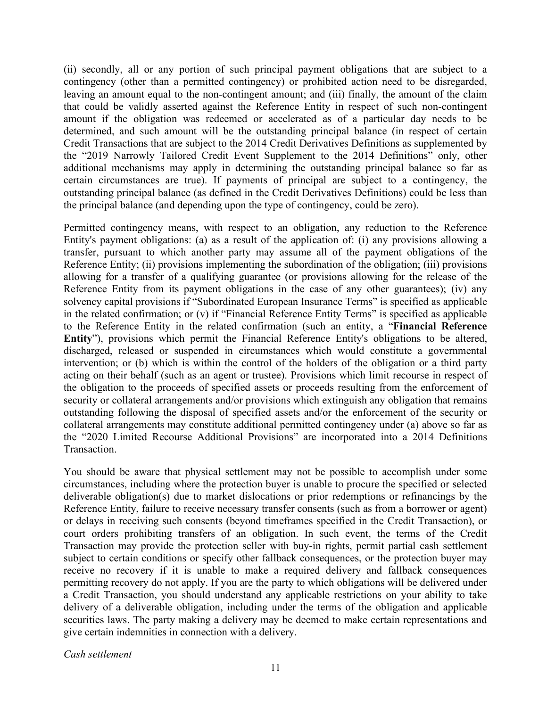(ii) secondly, all or any portion of such principal payment obligations that are subject to a contingency (other than a permitted contingency) or prohibited action need to be disregarded, leaving an amount equal to the non-contingent amount; and (iii) finally, the amount of the claim that could be validly asserted against the Reference Entity in respect of such non-contingent amount if the obligation was redeemed or accelerated as of a particular day needs to be determined, and such amount will be the outstanding principal balance (in respect of certain Credit Transactions that are subject to the 2014 Credit Derivatives Definitions as supplemented by the "2019 Narrowly Tailored Credit Event Supplement to the 2014 Definitions" only, other additional mechanisms may apply in determining the outstanding principal balance so far as certain circumstances are true). If payments of principal are subject to a contingency, the outstanding principal balance (as defined in the Credit Derivatives Definitions) could be less than the principal balance (and depending upon the type of contingency, could be zero).

Permitted contingency means, with respect to an obligation, any reduction to the Reference Entity's payment obligations: (a) as a result of the application of: (i) any provisions allowing a transfer, pursuant to which another party may assume all of the payment obligations of the Reference Entity; (ii) provisions implementing the subordination of the obligation; (iii) provisions allowing for a transfer of a qualifying guarantee (or provisions allowing for the release of the Reference Entity from its payment obligations in the case of any other guarantees); (iv) any solvency capital provisions if "Subordinated European Insurance Terms" is specified as applicable in the related confirmation; or (v) if "Financial Reference Entity Terms" is specified as applicable to the Reference Entity in the related confirmation (such an entity, a "**Financial Reference Entity**"), provisions which permit the Financial Reference Entity's obligations to be altered, discharged, released or suspended in circumstances which would constitute a governmental intervention; or (b) which is within the control of the holders of the obligation or a third party acting on their behalf (such as an agent or trustee). Provisions which limit recourse in respect of the obligation to the proceeds of specified assets or proceeds resulting from the enforcement of security or collateral arrangements and/or provisions which extinguish any obligation that remains outstanding following the disposal of specified assets and/or the enforcement of the security or collateral arrangements may constitute additional permitted contingency under (a) above so far as the "2020 Limited Recourse Additional Provisions" are incorporated into a 2014 Definitions Transaction.

You should be aware that physical settlement may not be possible to accomplish under some circumstances, including where the protection buyer is unable to procure the specified or selected deliverable obligation(s) due to market dislocations or prior redemptions or refinancings by the Reference Entity, failure to receive necessary transfer consents (such as from a borrower or agent) or delays in receiving such consents (beyond timeframes specified in the Credit Transaction), or court orders prohibiting transfers of an obligation. In such event, the terms of the Credit Transaction may provide the protection seller with buy-in rights, permit partial cash settlement subject to certain conditions or specify other fallback consequences, or the protection buyer may receive no recovery if it is unable to make a required delivery and fallback consequences permitting recovery do not apply. If you are the party to which obligations will be delivered under a Credit Transaction, you should understand any applicable restrictions on your ability to take delivery of a deliverable obligation, including under the terms of the obligation and applicable securities laws. The party making a delivery may be deemed to make certain representations and give certain indemnities in connection with a delivery.

*Cash settlement*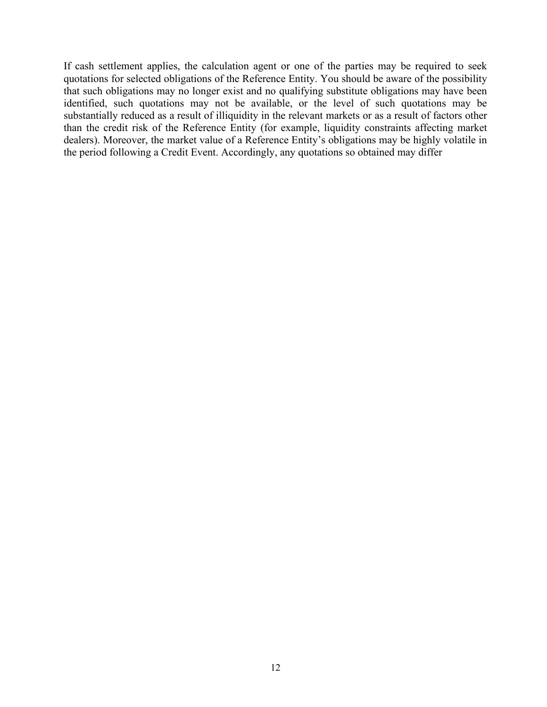If cash settlement applies, the calculation agent or one of the parties may be required to seek quotations for selected obligations of the Reference Entity. You should be aware of the possibility that such obligations may no longer exist and no qualifying substitute obligations may have been identified, such quotations may not be available, or the level of such quotations may be substantially reduced as a result of illiquidity in the relevant markets or as a result of factors other than the credit risk of the Reference Entity (for example, liquidity constraints affecting market dealers). Moreover, the market value of a Reference Entity's obligations may be highly volatile in the period following a Credit Event. Accordingly, any quotations so obtained may differ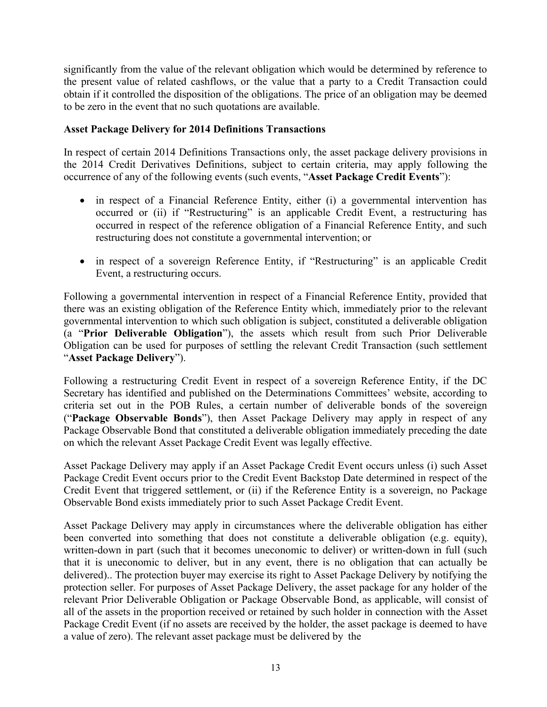significantly from the value of the relevant obligation which would be determined by reference to the present value of related cashflows, or the value that a party to a Credit Transaction could obtain if it controlled the disposition of the obligations. The price of an obligation may be deemed to be zero in the event that no such quotations are available.

## **Asset Package Delivery for 2014 Definitions Transactions**

In respect of certain 2014 Definitions Transactions only, the asset package delivery provisions in the 2014 Credit Derivatives Definitions, subject to certain criteria, may apply following the occurrence of any of the following events (such events, "**Asset Package Credit Events**"):

- in respect of a Financial Reference Entity, either (i) a governmental intervention has occurred or (ii) if "Restructuring" is an applicable Credit Event, a restructuring has occurred in respect of the reference obligation of a Financial Reference Entity, and such restructuring does not constitute a governmental intervention; or
- in respect of a sovereign Reference Entity, if "Restructuring" is an applicable Credit Event, a restructuring occurs.

Following a governmental intervention in respect of a Financial Reference Entity, provided that there was an existing obligation of the Reference Entity which, immediately prior to the relevant governmental intervention to which such obligation is subject, constituted a deliverable obligation (a "**Prior Deliverable Obligation**"), the assets which result from such Prior Deliverable Obligation can be used for purposes of settling the relevant Credit Transaction (such settlement "**Asset Package Delivery**").

Following a restructuring Credit Event in respect of a sovereign Reference Entity, if the DC Secretary has identified and published on the Determinations Committees' website, according to criteria set out in the POB Rules, a certain number of deliverable bonds of the sovereign ("**Package Observable Bonds**"), then Asset Package Delivery may apply in respect of any Package Observable Bond that constituted a deliverable obligation immediately preceding the date on which the relevant Asset Package Credit Event was legally effective.

Asset Package Delivery may apply if an Asset Package Credit Event occurs unless (i) such Asset Package Credit Event occurs prior to the Credit Event Backstop Date determined in respect of the Credit Event that triggered settlement, or (ii) if the Reference Entity is a sovereign, no Package Observable Bond exists immediately prior to such Asset Package Credit Event.

Asset Package Delivery may apply in circumstances where the deliverable obligation has either been converted into something that does not constitute a deliverable obligation (e.g. equity), written-down in part (such that it becomes uneconomic to deliver) or written-down in full (such that it is uneconomic to deliver, but in any event, there is no obligation that can actually be delivered).. The protection buyer may exercise its right to Asset Package Delivery by notifying the protection seller. For purposes of Asset Package Delivery, the asset package for any holder of the relevant Prior Deliverable Obligation or Package Observable Bond, as applicable, will consist of all of the assets in the proportion received or retained by such holder in connection with the Asset Package Credit Event (if no assets are received by the holder, the asset package is deemed to have a value of zero). The relevant asset package must be delivered by the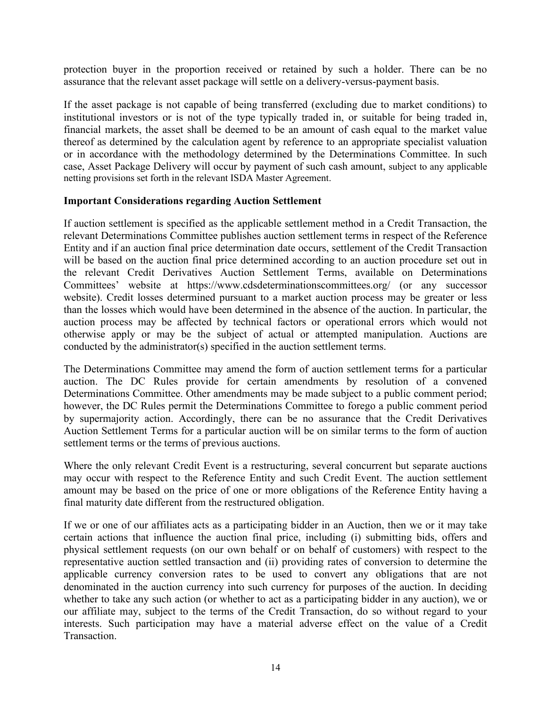protection buyer in the proportion received or retained by such a holder. There can be no assurance that the relevant asset package will settle on a delivery-versus-payment basis.

If the asset package is not capable of being transferred (excluding due to market conditions) to institutional investors or is not of the type typically traded in, or suitable for being traded in, financial markets, the asset shall be deemed to be an amount of cash equal to the market value thereof as determined by the calculation agent by reference to an appropriate specialist valuation or in accordance with the methodology determined by the Determinations Committee. In such case, Asset Package Delivery will occur by payment of such cash amount, subject to any applicable netting provisions set forth in the relevant ISDA Master Agreement.

#### **Important Considerations regarding Auction Settlement**

If auction settlement is specified as the applicable settlement method in a Credit Transaction, the relevant Determinations Committee publishes auction settlement terms in respect of the Reference Entity and if an auction final price determination date occurs, settlement of the Credit Transaction will be based on the auction final price determined according to an auction procedure set out in the relevant Credit Derivatives Auction Settlement Terms, available on Determinations Committees' website at https://www.cdsdeterminationscommittees.org/ (or any successor website). Credit losses determined pursuant to a market auction process may be greater or less than the losses which would have been determined in the absence of the auction. In particular, the auction process may be affected by technical factors or operational errors which would not otherwise apply or may be the subject of actual or attempted manipulation. Auctions are conducted by the administrator(s) specified in the auction settlement terms.

The Determinations Committee may amend the form of auction settlement terms for a particular auction. The DC Rules provide for certain amendments by resolution of a convened Determinations Committee. Other amendments may be made subject to a public comment period; however, the DC Rules permit the Determinations Committee to forego a public comment period by supermajority action. Accordingly, there can be no assurance that the Credit Derivatives Auction Settlement Terms for a particular auction will be on similar terms to the form of auction settlement terms or the terms of previous auctions.

Where the only relevant Credit Event is a restructuring, several concurrent but separate auctions may occur with respect to the Reference Entity and such Credit Event. The auction settlement amount may be based on the price of one or more obligations of the Reference Entity having a final maturity date different from the restructured obligation.

If we or one of our affiliates acts as a participating bidder in an Auction, then we or it may take certain actions that influence the auction final price, including (i) submitting bids, offers and physical settlement requests (on our own behalf or on behalf of customers) with respect to the representative auction settled transaction and (ii) providing rates of conversion to determine the applicable currency conversion rates to be used to convert any obligations that are not denominated in the auction currency into such currency for purposes of the auction. In deciding whether to take any such action (or whether to act as a participating bidder in any auction), we or our affiliate may, subject to the terms of the Credit Transaction, do so without regard to your interests. Such participation may have a material adverse effect on the value of a Credit Transaction.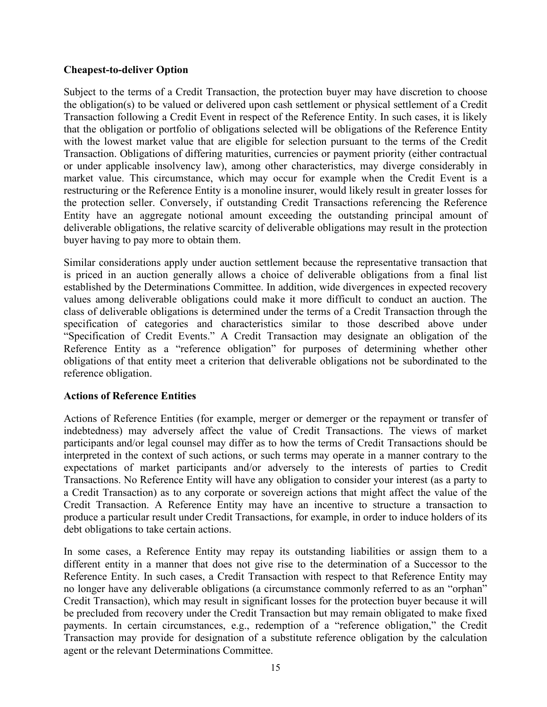## **Cheapest-to-deliver Option**

Subject to the terms of a Credit Transaction, the protection buyer may have discretion to choose the obligation(s) to be valued or delivered upon cash settlement or physical settlement of a Credit Transaction following a Credit Event in respect of the Reference Entity. In such cases, it is likely that the obligation or portfolio of obligations selected will be obligations of the Reference Entity with the lowest market value that are eligible for selection pursuant to the terms of the Credit Transaction. Obligations of differing maturities, currencies or payment priority (either contractual or under applicable insolvency law), among other characteristics, may diverge considerably in market value. This circumstance, which may occur for example when the Credit Event is a restructuring or the Reference Entity is a monoline insurer, would likely result in greater losses for the protection seller. Conversely, if outstanding Credit Transactions referencing the Reference Entity have an aggregate notional amount exceeding the outstanding principal amount of deliverable obligations, the relative scarcity of deliverable obligations may result in the protection buyer having to pay more to obtain them.

Similar considerations apply under auction settlement because the representative transaction that is priced in an auction generally allows a choice of deliverable obligations from a final list established by the Determinations Committee. In addition, wide divergences in expected recovery values among deliverable obligations could make it more difficult to conduct an auction. The class of deliverable obligations is determined under the terms of a Credit Transaction through the specification of categories and characteristics similar to those described above under "Specification of Credit Events." A Credit Transaction may designate an obligation of the Reference Entity as a "reference obligation" for purposes of determining whether other obligations of that entity meet a criterion that deliverable obligations not be subordinated to the reference obligation.

# **Actions of Reference Entities**

Actions of Reference Entities (for example, merger or demerger or the repayment or transfer of indebtedness) may adversely affect the value of Credit Transactions. The views of market participants and/or legal counsel may differ as to how the terms of Credit Transactions should be interpreted in the context of such actions, or such terms may operate in a manner contrary to the expectations of market participants and/or adversely to the interests of parties to Credit Transactions. No Reference Entity will have any obligation to consider your interest (as a party to a Credit Transaction) as to any corporate or sovereign actions that might affect the value of the Credit Transaction. A Reference Entity may have an incentive to structure a transaction to produce a particular result under Credit Transactions, for example, in order to induce holders of its debt obligations to take certain actions.

In some cases, a Reference Entity may repay its outstanding liabilities or assign them to a different entity in a manner that does not give rise to the determination of a Successor to the Reference Entity. In such cases, a Credit Transaction with respect to that Reference Entity may no longer have any deliverable obligations (a circumstance commonly referred to as an "orphan" Credit Transaction), which may result in significant losses for the protection buyer because it will be precluded from recovery under the Credit Transaction but may remain obligated to make fixed payments. In certain circumstances, e.g., redemption of a "reference obligation," the Credit Transaction may provide for designation of a substitute reference obligation by the calculation agent or the relevant Determinations Committee.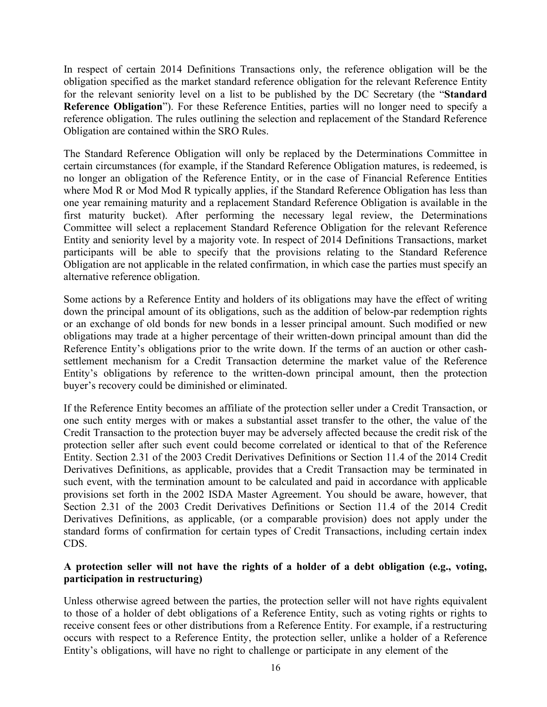In respect of certain 2014 Definitions Transactions only, the reference obligation will be the obligation specified as the market standard reference obligation for the relevant Reference Entity for the relevant seniority level on a list to be published by the DC Secretary (the "**Standard Reference Obligation**"). For these Reference Entities, parties will no longer need to specify a reference obligation. The rules outlining the selection and replacement of the Standard Reference Obligation are contained within the SRO Rules.

The Standard Reference Obligation will only be replaced by the Determinations Committee in certain circumstances (for example, if the Standard Reference Obligation matures, is redeemed, is no longer an obligation of the Reference Entity, or in the case of Financial Reference Entities where Mod R or Mod Mod R typically applies, if the Standard Reference Obligation has less than one year remaining maturity and a replacement Standard Reference Obligation is available in the first maturity bucket). After performing the necessary legal review, the Determinations Committee will select a replacement Standard Reference Obligation for the relevant Reference Entity and seniority level by a majority vote. In respect of 2014 Definitions Transactions, market participants will be able to specify that the provisions relating to the Standard Reference Obligation are not applicable in the related confirmation, in which case the parties must specify an alternative reference obligation.

Some actions by a Reference Entity and holders of its obligations may have the effect of writing down the principal amount of its obligations, such as the addition of below-par redemption rights or an exchange of old bonds for new bonds in a lesser principal amount. Such modified or new obligations may trade at a higher percentage of their written-down principal amount than did the Reference Entity's obligations prior to the write down. If the terms of an auction or other cashsettlement mechanism for a Credit Transaction determine the market value of the Reference Entity's obligations by reference to the written-down principal amount, then the protection buyer's recovery could be diminished or eliminated.

If the Reference Entity becomes an affiliate of the protection seller under a Credit Transaction, or one such entity merges with or makes a substantial asset transfer to the other, the value of the Credit Transaction to the protection buyer may be adversely affected because the credit risk of the protection seller after such event could become correlated or identical to that of the Reference Entity. Section 2.31 of the 2003 Credit Derivatives Definitions or Section 11.4 of the 2014 Credit Derivatives Definitions, as applicable, provides that a Credit Transaction may be terminated in such event, with the termination amount to be calculated and paid in accordance with applicable provisions set forth in the 2002 ISDA Master Agreement. You should be aware, however, that Section 2.31 of the 2003 Credit Derivatives Definitions or Section 11.4 of the 2014 Credit Derivatives Definitions, as applicable, (or a comparable provision) does not apply under the standard forms of confirmation for certain types of Credit Transactions, including certain index CDS.

## **A protection seller will not have the rights of a holder of a debt obligation (e.g., voting, participation in restructuring)**

Unless otherwise agreed between the parties, the protection seller will not have rights equivalent to those of a holder of debt obligations of a Reference Entity, such as voting rights or rights to receive consent fees or other distributions from a Reference Entity. For example, if a restructuring occurs with respect to a Reference Entity, the protection seller, unlike a holder of a Reference Entity's obligations, will have no right to challenge or participate in any element of the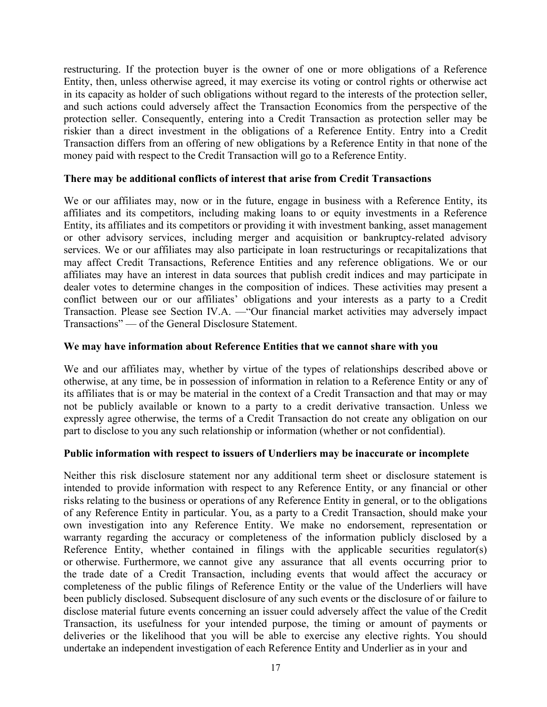restructuring. If the protection buyer is the owner of one or more obligations of a Reference Entity, then, unless otherwise agreed, it may exercise its voting or control rights or otherwise act in its capacity as holder of such obligations without regard to the interests of the protection seller, and such actions could adversely affect the Transaction Economics from the perspective of the protection seller. Consequently, entering into a Credit Transaction as protection seller may be riskier than a direct investment in the obligations of a Reference Entity. Entry into a Credit Transaction differs from an offering of new obligations by a Reference Entity in that none of the money paid with respect to the Credit Transaction will go to a Reference Entity.

#### **There may be additional conflicts of interest that arise from Credit Transactions**

We or our affiliates may, now or in the future, engage in business with a Reference Entity, its affiliates and its competitors, including making loans to or equity investments in a Reference Entity, its affiliates and its competitors or providing it with investment banking, asset management or other advisory services, including merger and acquisition or bankruptcy-related advisory services. We or our affiliates may also participate in loan restructurings or recapitalizations that may affect Credit Transactions, Reference Entities and any reference obligations. We or our affiliates may have an interest in data sources that publish credit indices and may participate in dealer votes to determine changes in the composition of indices. These activities may present a conflict between our or our affiliates' obligations and your interests as a party to a Credit Transaction. Please see Section IV.A. —"Our financial market activities may adversely impact Transactions" — of the General Disclosure Statement.

#### **We may have information about Reference Entities that we cannot share with you**

We and our affiliates may, whether by virtue of the types of relationships described above or otherwise, at any time, be in possession of information in relation to a Reference Entity or any of its affiliates that is or may be material in the context of a Credit Transaction and that may or may not be publicly available or known to a party to a credit derivative transaction. Unless we expressly agree otherwise, the terms of a Credit Transaction do not create any obligation on our part to disclose to you any such relationship or information (whether or not confidential).

#### **Public information with respect to issuers of Underliers may be inaccurate or incomplete**

Neither this risk disclosure statement nor any additional term sheet or disclosure statement is intended to provide information with respect to any Reference Entity, or any financial or other risks relating to the business or operations of any Reference Entity in general, or to the obligations of any Reference Entity in particular. You, as a party to a Credit Transaction, should make your own investigation into any Reference Entity. We make no endorsement, representation or warranty regarding the accuracy or completeness of the information publicly disclosed by a Reference Entity, whether contained in filings with the applicable securities regulator(s) or otherwise. Furthermore, we cannot give any assurance that all events occurring prior to the trade date of a Credit Transaction, including events that would affect the accuracy or completeness of the public filings of Reference Entity or the value of the Underliers will have been publicly disclosed. Subsequent disclosure of any such events or the disclosure of or failure to disclose material future events concerning an issuer could adversely affect the value of the Credit Transaction, its usefulness for your intended purpose, the timing or amount of payments or deliveries or the likelihood that you will be able to exercise any elective rights. You should undertake an independent investigation of each Reference Entity and Underlier as in your and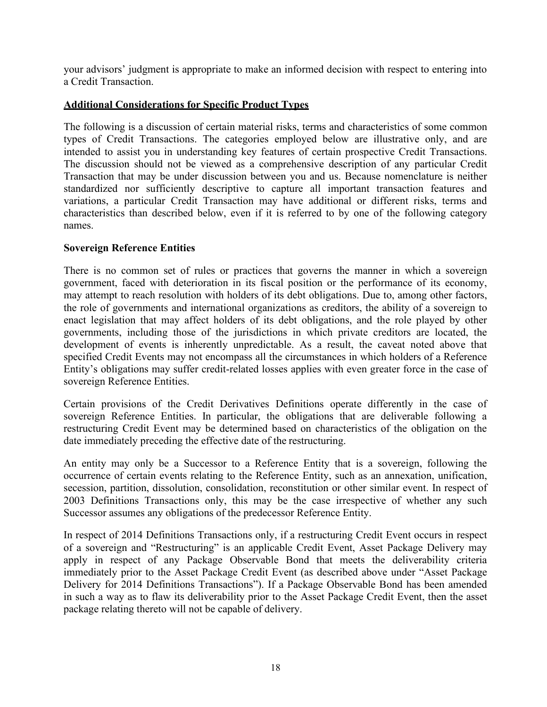your advisors' judgment is appropriate to make an informed decision with respect to entering into a Credit Transaction.

## **Additional Considerations for Specific Product Types**

The following is a discussion of certain material risks, terms and characteristics of some common types of Credit Transactions. The categories employed below are illustrative only, and are intended to assist you in understanding key features of certain prospective Credit Transactions. The discussion should not be viewed as a comprehensive description of any particular Credit Transaction that may be under discussion between you and us. Because nomenclature is neither standardized nor sufficiently descriptive to capture all important transaction features and variations, a particular Credit Transaction may have additional or different risks, terms and characteristics than described below, even if it is referred to by one of the following category names.

#### **Sovereign Reference Entities**

There is no common set of rules or practices that governs the manner in which a sovereign government, faced with deterioration in its fiscal position or the performance of its economy, may attempt to reach resolution with holders of its debt obligations. Due to, among other factors, the role of governments and international organizations as creditors, the ability of a sovereign to enact legislation that may affect holders of its debt obligations, and the role played by other governments, including those of the jurisdictions in which private creditors are located, the development of events is inherently unpredictable. As a result, the caveat noted above that specified Credit Events may not encompass all the circumstances in which holders of a Reference Entity's obligations may suffer credit-related losses applies with even greater force in the case of sovereign Reference Entities.

Certain provisions of the Credit Derivatives Definitions operate differently in the case of sovereign Reference Entities. In particular, the obligations that are deliverable following a restructuring Credit Event may be determined based on characteristics of the obligation on the date immediately preceding the effective date of the restructuring.

An entity may only be a Successor to a Reference Entity that is a sovereign, following the occurrence of certain events relating to the Reference Entity, such as an annexation, unification, secession, partition, dissolution, consolidation, reconstitution or other similar event. In respect of 2003 Definitions Transactions only, this may be the case irrespective of whether any such Successor assumes any obligations of the predecessor Reference Entity.

In respect of 2014 Definitions Transactions only, if a restructuring Credit Event occurs in respect of a sovereign and "Restructuring" is an applicable Credit Event, Asset Package Delivery may apply in respect of any Package Observable Bond that meets the deliverability criteria immediately prior to the Asset Package Credit Event (as described above under "Asset Package Delivery for 2014 Definitions Transactions"). If a Package Observable Bond has been amended in such a way as to flaw its deliverability prior to the Asset Package Credit Event, then the asset package relating thereto will not be capable of delivery.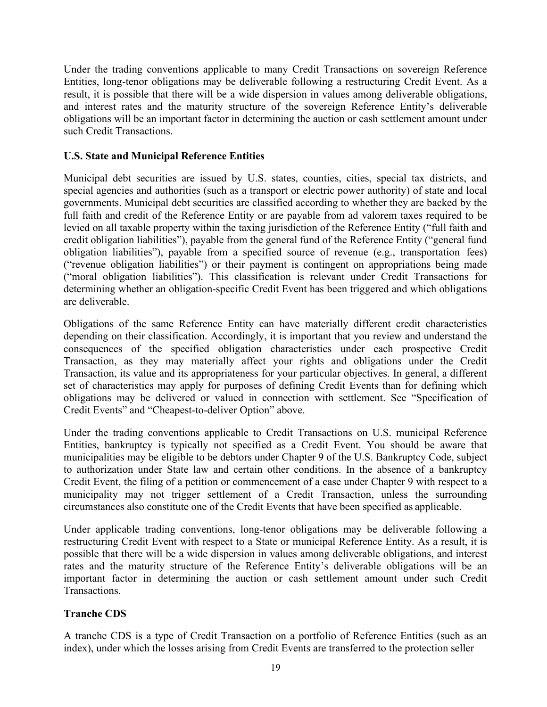Under the trading conventions applicable to many Credit Transactions on sovereign Reference Entities, long-tenor obligations may be deliverable following a restructuring Credit Event. As a result, it is possible that there will be a wide dispersion in values among deliverable obligations, and interest rates and the maturity structure of the sovereign Reference Entity's deliverable obligations will be an important factor in determining the auction or cash settlement amount under such Credit Transactions.

## **U.S. State and Municipal Reference Entities**

Municipal debt securities are issued by U.S. states, counties, cities, special tax districts, and special agencies and authorities (such as a transport or electric power authority) of state and local governments. Municipal debt securities are classified according to whether they are backed by the full faith and credit of the Reference Entity or are payable from ad valorem taxes required to be levied on all taxable property within the taxing jurisdiction of the Reference Entity ("full faith and credit obligation liabilities"), payable from the general fund of the Reference Entity ("general fund obligation liabilities"), payable from a specified source of revenue (e.g., transportation fees) ("revenue obligation liabilities") or their payment is contingent on appropriations being made ("moral obligation liabilities"). This classification is relevant under Credit Transactions for determining whether an obligation-specific Credit Event has been triggered and which obligations are deliverable.

Obligations of the same Reference Entity can have materially different credit characteristics depending on their classification. Accordingly, it is important that you review and understand the consequences of the specified obligation characteristics under each prospective Credit Transaction, as they may materially affect your rights and obligations under the Credit Transaction, its value and its appropriateness for your particular objectives. In general, a different set of characteristics may apply for purposes of defining Credit Events than for defining which obligations may be delivered or valued in connection with settlement. See "Specification of Credit Events" and "Cheapest-to-deliver Option" above.

Under the trading conventions applicable to Credit Transactions on U.S. municipal Reference Entities, bankruptcy is typically not specified as a Credit Event. You should be aware that municipalities may be eligible to be debtors under Chapter 9 of the U.S. Bankruptcy Code, subject to authorization under State law and certain other conditions. In the absence of a bankruptcy Credit Event, the filing of a petition or commencement of a case under Chapter 9 with respect to a municipality may not trigger settlement of a Credit Transaction, unless the surrounding circumstances also constitute one of the Credit Events that have been specified as applicable.

Under applicable trading conventions, long-tenor obligations may be deliverable following a restructuring Credit Event with respect to a State or municipal Reference Entity. As a result, it is possible that there will be a wide dispersion in values among deliverable obligations, and interest rates and the maturity structure of the Reference Entity's deliverable obligations will be an important factor in determining the auction or cash settlement amount under such Credit Transactions.

# **Tranche CDS**

A tranche CDS is a type of Credit Transaction on a portfolio of Reference Entities (such as an index), under which the losses arising from Credit Events are transferred to the protection seller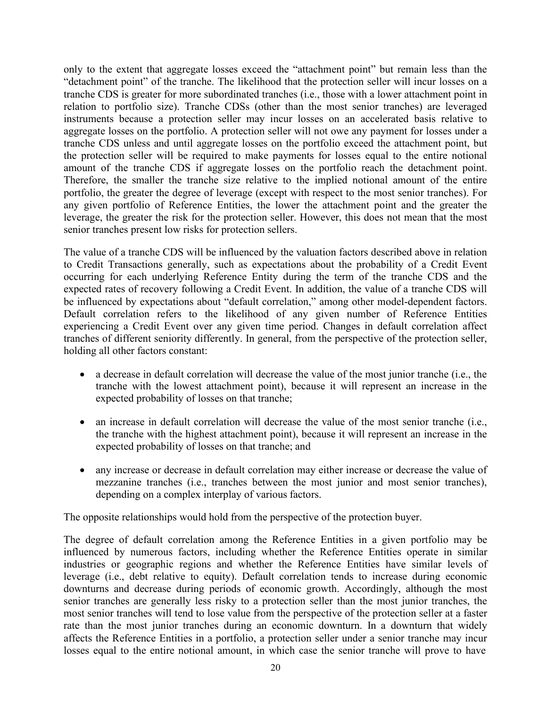only to the extent that aggregate losses exceed the "attachment point" but remain less than the "detachment point" of the tranche. The likelihood that the protection seller will incur losses on a tranche CDS is greater for more subordinated tranches (i.e., those with a lower attachment point in relation to portfolio size). Tranche CDSs (other than the most senior tranches) are leveraged instruments because a protection seller may incur losses on an accelerated basis relative to aggregate losses on the portfolio. A protection seller will not owe any payment for losses under a tranche CDS unless and until aggregate losses on the portfolio exceed the attachment point, but the protection seller will be required to make payments for losses equal to the entire notional amount of the tranche CDS if aggregate losses on the portfolio reach the detachment point. Therefore, the smaller the tranche size relative to the implied notional amount of the entire portfolio, the greater the degree of leverage (except with respect to the most senior tranches). For any given portfolio of Reference Entities, the lower the attachment point and the greater the leverage, the greater the risk for the protection seller. However, this does not mean that the most senior tranches present low risks for protection sellers.

The value of a tranche CDS will be influenced by the valuation factors described above in relation to Credit Transactions generally, such as expectations about the probability of a Credit Event occurring for each underlying Reference Entity during the term of the tranche CDS and the expected rates of recovery following a Credit Event. In addition, the value of a tranche CDS will be influenced by expectations about "default correlation," among other model-dependent factors. Default correlation refers to the likelihood of any given number of Reference Entities experiencing a Credit Event over any given time period. Changes in default correlation affect tranches of different seniority differently. In general, from the perspective of the protection seller, holding all other factors constant:

- a decrease in default correlation will decrease the value of the most junior tranche (i.e., the tranche with the lowest attachment point), because it will represent an increase in the expected probability of losses on that tranche;
- an increase in default correlation will decrease the value of the most senior tranche (i.e., the tranche with the highest attachment point), because it will represent an increase in the expected probability of losses on that tranche; and
- any increase or decrease in default correlation may either increase or decrease the value of mezzanine tranches (i.e., tranches between the most junior and most senior tranches), depending on a complex interplay of various factors.

The opposite relationships would hold from the perspective of the protection buyer.

The degree of default correlation among the Reference Entities in a given portfolio may be influenced by numerous factors, including whether the Reference Entities operate in similar industries or geographic regions and whether the Reference Entities have similar levels of leverage (i.e., debt relative to equity). Default correlation tends to increase during economic downturns and decrease during periods of economic growth. Accordingly, although the most senior tranches are generally less risky to a protection seller than the most junior tranches, the most senior tranches will tend to lose value from the perspective of the protection seller at a faster rate than the most junior tranches during an economic downturn. In a downturn that widely affects the Reference Entities in a portfolio, a protection seller under a senior tranche may incur losses equal to the entire notional amount, in which case the senior tranche will prove to have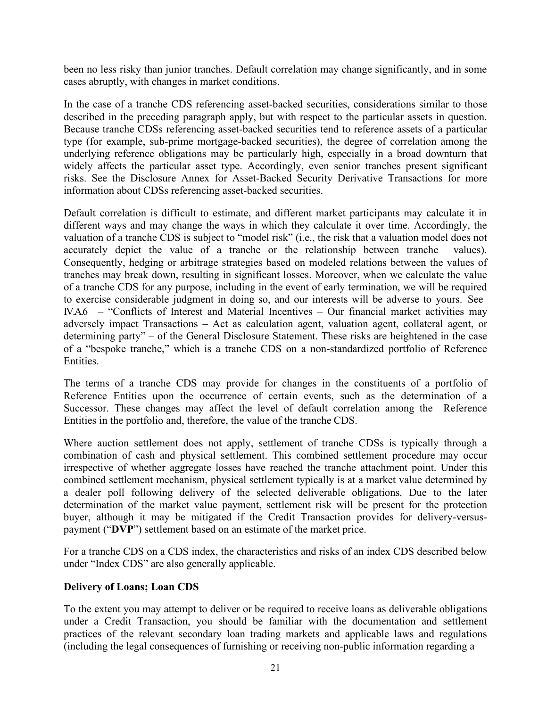been no less risky than junior tranches. Default correlation may change significantly, and in some cases abruptly, with changes in market conditions.

In the case of a tranche CDS referencing asset-backed securities, considerations similar to those described in the preceding paragraph apply, but with respect to the particular assets in question. Because tranche CDSs referencing asset-backed securities tend to reference assets of a particular type (for example, sub-prime mortgage-backed securities), the degree of correlation among the underlying reference obligations may be particularly high, especially in a broad downturn that widely affects the particular asset type. Accordingly, even senior tranches present significant risks. See the Disclosure Annex for Asset-Backed Security Derivative Transactions for more information about CDSs referencing asset-backed securities.

Default correlation is difficult to estimate, and different market participants may calculate it in different ways and may change the ways in which they calculate it over time. Accordingly, the valuation of a tranche CDS is subject to "model risk" (i.e., the risk that a valuation model does not accurately depict the value of a tranche or the relationship between tranche values). Consequently, hedging or arbitrage strategies based on modeled relations between the values of tranches may break down, resulting in significant losses. Moreover, when we calculate the value of a tranche CDS for any purpose, including in the event of early termination, we will be required to exercise considerable judgment in doing so, and our interests will be adverse to yours. See IV.A.6 – "Conflicts of Interest and Material Incentives – Our financial market activities may adversely impact Transactions – Act as calculation agent, valuation agent, collateral agent, or determining party" – of the General Disclosure Statement. These risks are heightened in the case of a "bespoke tranche," which is a tranche CDS on a non-standardized portfolio of Reference Entities.

The terms of a tranche CDS may provide for changes in the constituents of a portfolio of Reference Entities upon the occurrence of certain events, such as the determination of a Successor. These changes may affect the level of default correlation among the Reference Entities in the portfolio and, therefore, the value of the tranche CDS.

Where auction settlement does not apply, settlement of tranche CDSs is typically through a combination of cash and physical settlement. This combined settlement procedure may occur irrespective of whether aggregate losses have reached the tranche attachment point. Under this combined settlement mechanism, physical settlement typically is at a market value determined by a dealer poll following delivery of the selected deliverable obligations. Due to the later determination of the market value payment, settlement risk will be present for the protection buyer, although it may be mitigated if the Credit Transaction provides for delivery-versuspayment ("**DVP**") settlement based on an estimate of the market price.

For a tranche CDS on a CDS index, the characteristics and risks of an index CDS described below under "Index CDS" are also generally applicable.

# **Delivery of Loans; Loan CDS**

To the extent you may attempt to deliver or be required to receive loans as deliverable obligations under a Credit Transaction, you should be familiar with the documentation and settlement practices of the relevant secondary loan trading markets and applicable laws and regulations (including the legal consequences of furnishing or receiving non-public information regarding a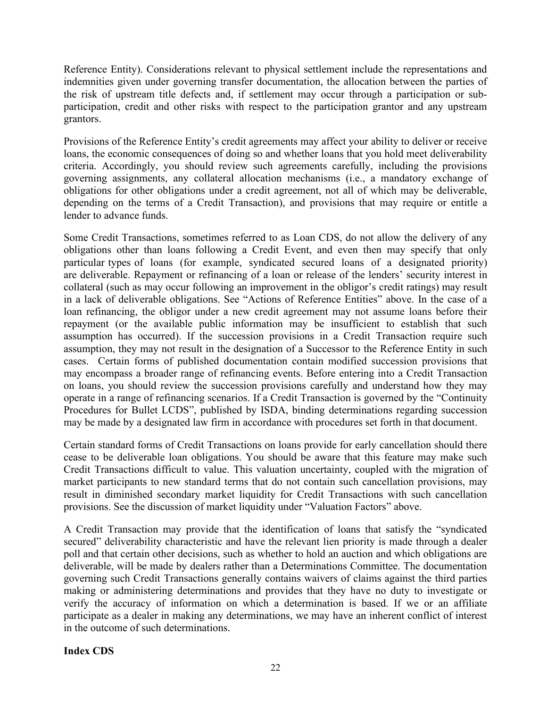Reference Entity). Considerations relevant to physical settlement include the representations and indemnities given under governing transfer documentation, the allocation between the parties of the risk of upstream title defects and, if settlement may occur through a participation or subparticipation, credit and other risks with respect to the participation grantor and any upstream grantors.

Provisions of the Reference Entity's credit agreements may affect your ability to deliver or receive loans, the economic consequences of doing so and whether loans that you hold meet deliverability criteria. Accordingly, you should review such agreements carefully, including the provisions governing assignments, any collateral allocation mechanisms (i.e., a mandatory exchange of obligations for other obligations under a credit agreement, not all of which may be deliverable, depending on the terms of a Credit Transaction), and provisions that may require or entitle a lender to advance funds.

Some Credit Transactions, sometimes referred to as Loan CDS, do not allow the delivery of any obligations other than loans following a Credit Event, and even then may specify that only particular types of loans (for example, syndicated secured loans of a designated priority) are deliverable. Repayment or refinancing of a loan or release of the lenders' security interest in collateral (such as may occur following an improvement in the obligor's credit ratings) may result in a lack of deliverable obligations. See "Actions of Reference Entities" above. In the case of a loan refinancing, the obligor under a new credit agreement may not assume loans before their repayment (or the available public information may be insufficient to establish that such assumption has occurred). If the succession provisions in a Credit Transaction require such assumption, they may not result in the designation of a Successor to the Reference Entity in such cases. Certain forms of published documentation contain modified succession provisions that may encompass a broader range of refinancing events. Before entering into a Credit Transaction on loans, you should review the succession provisions carefully and understand how they may operate in a range of refinancing scenarios. If a Credit Transaction is governed by the "Continuity Procedures for Bullet LCDS", published by ISDA, binding determinations regarding succession may be made by a designated law firm in accordance with procedures set forth in that document.

Certain standard forms of Credit Transactions on loans provide for early cancellation should there cease to be deliverable loan obligations. You should be aware that this feature may make such Credit Transactions difficult to value. This valuation uncertainty, coupled with the migration of market participants to new standard terms that do not contain such cancellation provisions, may result in diminished secondary market liquidity for Credit Transactions with such cancellation provisions. See the discussion of market liquidity under "Valuation Factors" above.

A Credit Transaction may provide that the identification of loans that satisfy the "syndicated secured" deliverability characteristic and have the relevant lien priority is made through a dealer poll and that certain other decisions, such as whether to hold an auction and which obligations are deliverable, will be made by dealers rather than a Determinations Committee. The documentation governing such Credit Transactions generally contains waivers of claims against the third parties making or administering determinations and provides that they have no duty to investigate or verify the accuracy of information on which a determination is based. If we or an affiliate participate as a dealer in making any determinations, we may have an inherent conflict of interest in the outcome of such determinations.

#### **Index CDS**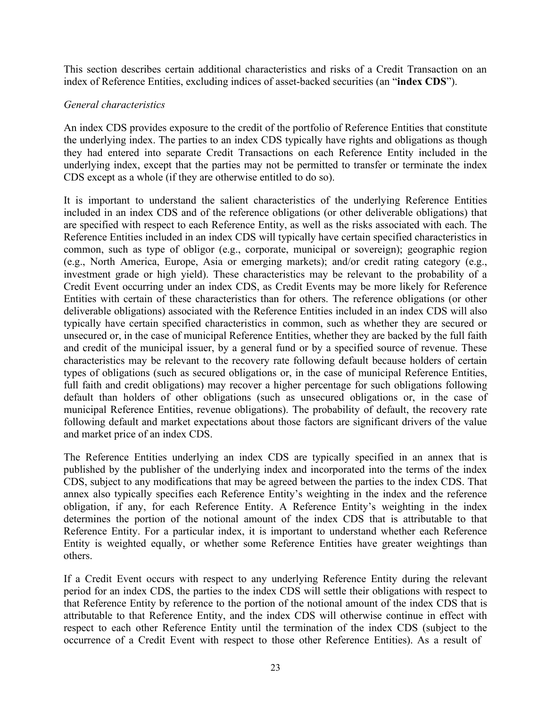This section describes certain additional characteristics and risks of a Credit Transaction on an index of Reference Entities, excluding indices of asset-backed securities (an "**index CDS**").

## *General characteristics*

An index CDS provides exposure to the credit of the portfolio of Reference Entities that constitute the underlying index. The parties to an index CDS typically have rights and obligations as though they had entered into separate Credit Transactions on each Reference Entity included in the underlying index, except that the parties may not be permitted to transfer or terminate the index CDS except as a whole (if they are otherwise entitled to do so).

It is important to understand the salient characteristics of the underlying Reference Entities included in an index CDS and of the reference obligations (or other deliverable obligations) that are specified with respect to each Reference Entity, as well as the risks associated with each. The Reference Entities included in an index CDS will typically have certain specified characteristics in common, such as type of obligor (e.g., corporate, municipal or sovereign); geographic region (e.g., North America, Europe, Asia or emerging markets); and/or credit rating category (e.g., investment grade or high yield). These characteristics may be relevant to the probability of a Credit Event occurring under an index CDS, as Credit Events may be more likely for Reference Entities with certain of these characteristics than for others. The reference obligations (or other deliverable obligations) associated with the Reference Entities included in an index CDS will also typically have certain specified characteristics in common, such as whether they are secured or unsecured or, in the case of municipal Reference Entities, whether they are backed by the full faith and credit of the municipal issuer, by a general fund or by a specified source of revenue. These characteristics may be relevant to the recovery rate following default because holders of certain types of obligations (such as secured obligations or, in the case of municipal Reference Entities, full faith and credit obligations) may recover a higher percentage for such obligations following default than holders of other obligations (such as unsecured obligations or, in the case of municipal Reference Entities, revenue obligations). The probability of default, the recovery rate following default and market expectations about those factors are significant drivers of the value and market price of an index CDS.

The Reference Entities underlying an index CDS are typically specified in an annex that is published by the publisher of the underlying index and incorporated into the terms of the index CDS, subject to any modifications that may be agreed between the parties to the index CDS. That annex also typically specifies each Reference Entity's weighting in the index and the reference obligation, if any, for each Reference Entity. A Reference Entity's weighting in the index determines the portion of the notional amount of the index CDS that is attributable to that Reference Entity. For a particular index, it is important to understand whether each Reference Entity is weighted equally, or whether some Reference Entities have greater weightings than others.

If a Credit Event occurs with respect to any underlying Reference Entity during the relevant period for an index CDS, the parties to the index CDS will settle their obligations with respect to that Reference Entity by reference to the portion of the notional amount of the index CDS that is attributable to that Reference Entity, and the index CDS will otherwise continue in effect with respect to each other Reference Entity until the termination of the index CDS (subject to the occurrence of a Credit Event with respect to those other Reference Entities). As a result of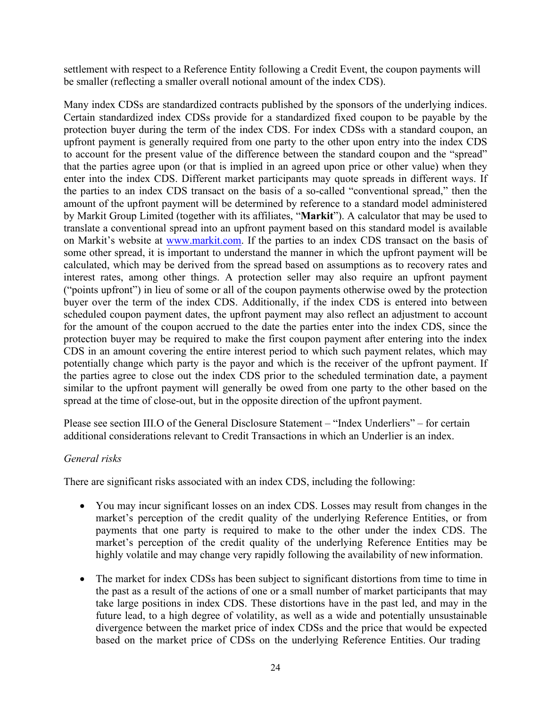settlement with respect to a Reference Entity following a Credit Event, the coupon payments will be smaller (reflecting a smaller overall notional amount of the index CDS).

Many index CDSs are standardized contracts published by the sponsors of the underlying indices. Certain standardized index CDSs provide for a standardized fixed coupon to be payable by the protection buyer during the term of the index CDS. For index CDSs with a standard coupon, an upfront payment is generally required from one party to the other upon entry into the index CDS to account for the present value of the difference between the standard coupon and the "spread" that the parties agree upon (or that is implied in an agreed upon price or other value) when they enter into the index CDS. Different market participants may quote spreads in different ways. If the parties to an index CDS transact on the basis of a so-called "conventional spread," then the amount of the upfront payment will be determined by reference to a standard model administered by Markit Group Limited (together with its affiliates, "**Markit**"). A calculator that may be used to translate a conventional spread into an upfront payment based on this standard model is available on Markit's website at [www.markit.com.](http://www.markit.com/) If the parties to an index CDS transact on the basis of some other spread, it is important to understand the manner in which the upfront payment will be calculated, which may be derived from the spread based on assumptions as to recovery rates and interest rates, among other things. A protection seller may also require an upfront payment ("points upfront") in lieu of some or all of the coupon payments otherwise owed by the protection buyer over the term of the index CDS. Additionally, if the index CDS is entered into between scheduled coupon payment dates, the upfront payment may also reflect an adjustment to account for the amount of the coupon accrued to the date the parties enter into the index CDS, since the protection buyer may be required to make the first coupon payment after entering into the index CDS in an amount covering the entire interest period to which such payment relates, which may potentially change which party is the payor and which is the receiver of the upfront payment. If the parties agree to close out the index CDS prior to the scheduled termination date, a payment similar to the upfront payment will generally be owed from one party to the other based on the spread at the time of close-out, but in the opposite direction of the upfront payment.

Please see section III.O of the General Disclosure Statement – "Index Underliers" – for certain additional considerations relevant to Credit Transactions in which an Underlier is an index.

# *General risks*

There are significant risks associated with an index CDS, including the following:

- You may incur significant losses on an index CDS. Losses may result from changes in the market's perception of the credit quality of the underlying Reference Entities, or from payments that one party is required to make to the other under the index CDS. The market's perception of the credit quality of the underlying Reference Entities may be highly volatile and may change very rapidly following the availability of new information.
- The market for index CDSs has been subject to significant distortions from time to time in the past as a result of the actions of one or a small number of market participants that may take large positions in index CDS. These distortions have in the past led, and may in the future lead, to a high degree of volatility, as well as a wide and potentially unsustainable divergence between the market price of index CDSs and the price that would be expected based on the market price of CDSs on the underlying Reference Entities. Our trading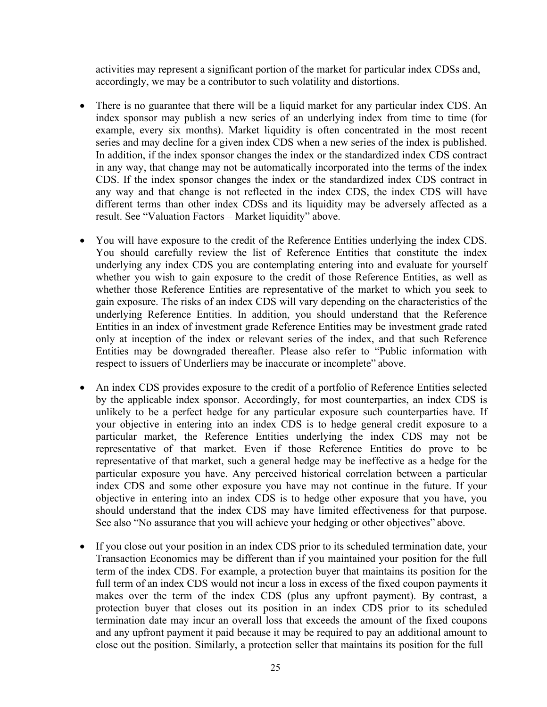activities may represent a significant portion of the market for particular index CDSs and, accordingly, we may be a contributor to such volatility and distortions.

- There is no guarantee that there will be a liquid market for any particular index CDS. An index sponsor may publish a new series of an underlying index from time to time (for example, every six months). Market liquidity is often concentrated in the most recent series and may decline for a given index CDS when a new series of the index is published. In addition, if the index sponsor changes the index or the standardized index CDS contract in any way, that change may not be automatically incorporated into the terms of the index CDS. If the index sponsor changes the index or the standardized index CDS contract in any way and that change is not reflected in the index CDS, the index CDS will have different terms than other index CDSs and its liquidity may be adversely affected as a result. See "Valuation Factors – Market liquidity" above.
- You will have exposure to the credit of the Reference Entities underlying the index CDS. You should carefully review the list of Reference Entities that constitute the index underlying any index CDS you are contemplating entering into and evaluate for yourself whether you wish to gain exposure to the credit of those Reference Entities, as well as whether those Reference Entities are representative of the market to which you seek to gain exposure. The risks of an index CDS will vary depending on the characteristics of the underlying Reference Entities. In addition, you should understand that the Reference Entities in an index of investment grade Reference Entities may be investment grade rated only at inception of the index or relevant series of the index, and that such Reference Entities may be downgraded thereafter. Please also refer to "Public information with respect to issuers of Underliers may be inaccurate or incomplete" above.
- An index CDS provides exposure to the credit of a portfolio of Reference Entities selected by the applicable index sponsor. Accordingly, for most counterparties, an index CDS is unlikely to be a perfect hedge for any particular exposure such counterparties have. If your objective in entering into an index CDS is to hedge general credit exposure to a particular market, the Reference Entities underlying the index CDS may not be representative of that market. Even if those Reference Entities do prove to be representative of that market, such a general hedge may be ineffective as a hedge for the particular exposure you have. Any perceived historical correlation between a particular index CDS and some other exposure you have may not continue in the future. If your objective in entering into an index CDS is to hedge other exposure that you have, you should understand that the index CDS may have limited effectiveness for that purpose. See also "No assurance that you will achieve your hedging or other objectives" above.
- If you close out your position in an index CDS prior to its scheduled termination date, your Transaction Economics may be different than if you maintained your position for the full term of the index CDS. For example, a protection buyer that maintains its position for the full term of an index CDS would not incur a loss in excess of the fixed coupon payments it makes over the term of the index CDS (plus any upfront payment). By contrast, a protection buyer that closes out its position in an index CDS prior to its scheduled termination date may incur an overall loss that exceeds the amount of the fixed coupons and any upfront payment it paid because it may be required to pay an additional amount to close out the position. Similarly, a protection seller that maintains its position for the full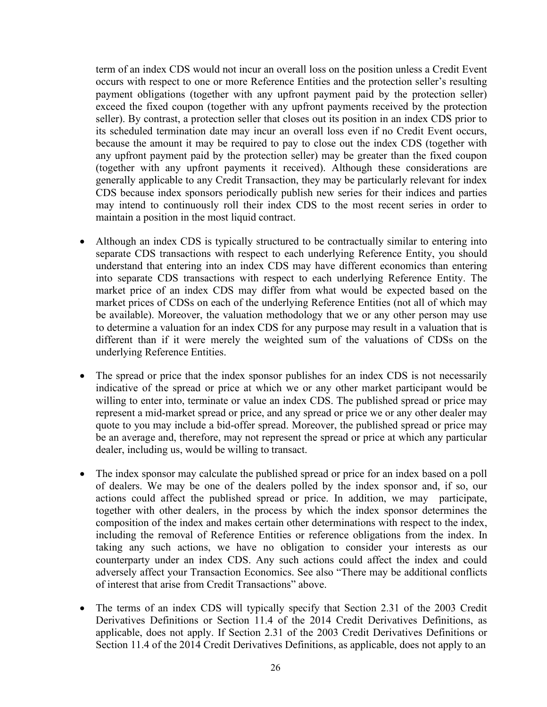term of an index CDS would not incur an overall loss on the position unless a Credit Event occurs with respect to one or more Reference Entities and the protection seller's resulting payment obligations (together with any upfront payment paid by the protection seller) exceed the fixed coupon (together with any upfront payments received by the protection seller). By contrast, a protection seller that closes out its position in an index CDS prior to its scheduled termination date may incur an overall loss even if no Credit Event occurs, because the amount it may be required to pay to close out the index CDS (together with any upfront payment paid by the protection seller) may be greater than the fixed coupon (together with any upfront payments it received). Although these considerations are generally applicable to any Credit Transaction, they may be particularly relevant for index CDS because index sponsors periodically publish new series for their indices and parties may intend to continuously roll their index CDS to the most recent series in order to maintain a position in the most liquid contract.

- Although an index CDS is typically structured to be contractually similar to entering into separate CDS transactions with respect to each underlying Reference Entity, you should understand that entering into an index CDS may have different economics than entering into separate CDS transactions with respect to each underlying Reference Entity. The market price of an index CDS may differ from what would be expected based on the market prices of CDSs on each of the underlying Reference Entities (not all of which may be available). Moreover, the valuation methodology that we or any other person may use to determine a valuation for an index CDS for any purpose may result in a valuation that is different than if it were merely the weighted sum of the valuations of CDSs on the underlying Reference Entities.
- The spread or price that the index sponsor publishes for an index CDS is not necessarily indicative of the spread or price at which we or any other market participant would be willing to enter into, terminate or value an index CDS. The published spread or price may represent a mid-market spread or price, and any spread or price we or any other dealer may quote to you may include a bid-offer spread. Moreover, the published spread or price may be an average and, therefore, may not represent the spread or price at which any particular dealer, including us, would be willing to transact.
- The index sponsor may calculate the published spread or price for an index based on a poll of dealers. We may be one of the dealers polled by the index sponsor and, if so, our actions could affect the published spread or price. In addition, we may participate, together with other dealers, in the process by which the index sponsor determines the composition of the index and makes certain other determinations with respect to the index, including the removal of Reference Entities or reference obligations from the index. In taking any such actions, we have no obligation to consider your interests as our counterparty under an index CDS. Any such actions could affect the index and could adversely affect your Transaction Economics. See also "There may be additional conflicts of interest that arise from Credit Transactions" above.
- The terms of an index CDS will typically specify that Section 2.31 of the 2003 Credit Derivatives Definitions or Section 11.4 of the 2014 Credit Derivatives Definitions, as applicable, does not apply. If Section 2.31 of the 2003 Credit Derivatives Definitions or Section 11.4 of the 2014 Credit Derivatives Definitions, as applicable, does not apply to an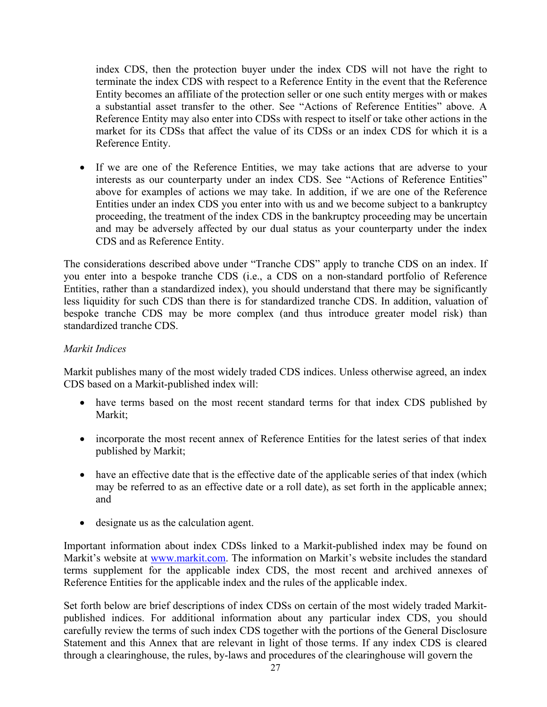index CDS, then the protection buyer under the index CDS will not have the right to terminate the index CDS with respect to a Reference Entity in the event that the Reference Entity becomes an affiliate of the protection seller or one such entity merges with or makes a substantial asset transfer to the other. See "Actions of Reference Entities" above. A Reference Entity may also enter into CDSs with respect to itself or take other actions in the market for its CDSs that affect the value of its CDSs or an index CDS for which it is a Reference Entity.

• If we are one of the Reference Entities, we may take actions that are adverse to your interests as our counterparty under an index CDS. See "Actions of Reference Entities" above for examples of actions we may take. In addition, if we are one of the Reference Entities under an index CDS you enter into with us and we become subject to a bankruptcy proceeding, the treatment of the index CDS in the bankruptcy proceeding may be uncertain and may be adversely affected by our dual status as your counterparty under the index CDS and as Reference Entity.

The considerations described above under "Tranche CDS" apply to tranche CDS on an index. If you enter into a bespoke tranche CDS (i.e., a CDS on a non-standard portfolio of Reference Entities, rather than a standardized index), you should understand that there may be significantly less liquidity for such CDS than there is for standardized tranche CDS. In addition, valuation of bespoke tranche CDS may be more complex (and thus introduce greater model risk) than standardized tranche CDS.

## *Markit Indices*

Markit publishes many of the most widely traded CDS indices. Unless otherwise agreed, an index CDS based on a Markit-published index will:

- have terms based on the most recent standard terms for that index CDS published by Markit;
- incorporate the most recent annex of Reference Entities for the latest series of that index published by Markit;
- have an effective date that is the effective date of the applicable series of that index (which may be referred to as an effective date or a roll date), as set forth in the applicable annex; and
- designate us as the calculation agent.

Important information about index CDSs linked to a Markit-published index may be found on Markit's website at [www.markit.com.](http://www.markit.com/) The information on Markit's website includes the standard terms supplement for the applicable index CDS, the most recent and archived annexes of Reference Entities for the applicable index and the rules of the applicable index.

Set forth below are brief descriptions of index CDSs on certain of the most widely traded Markitpublished indices. For additional information about any particular index CDS, you should carefully review the terms of such index CDS together with the portions of the General Disclosure Statement and this Annex that are relevant in light of those terms. If any index CDS is cleared through a clearinghouse, the rules, by-laws and procedures of the clearinghouse will govern the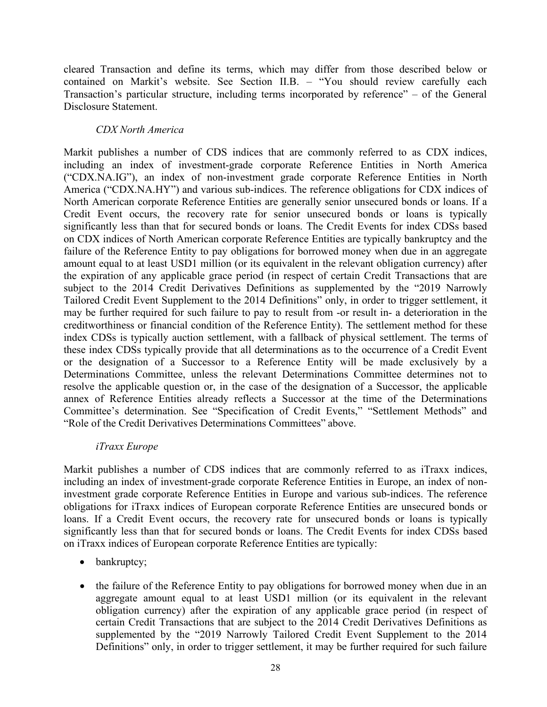cleared Transaction and define its terms, which may differ from those described below or contained on Markit's website. See Section II.B. – "You should review carefully each Transaction's particular structure, including terms incorporated by reference" – of the General Disclosure Statement.

## *CDX North America*

Markit publishes a number of CDS indices that are commonly referred to as CDX indices, including an index of investment-grade corporate Reference Entities in North America ("CDX.NA.IG"), an index of non-investment grade corporate Reference Entities in North America ("CDX.NA.HY") and various sub-indices. The reference obligations for CDX indices of North American corporate Reference Entities are generally senior unsecured bonds or loans. If a Credit Event occurs, the recovery rate for senior unsecured bonds or loans is typically significantly less than that for secured bonds or loans. The Credit Events for index CDSs based on CDX indices of North American corporate Reference Entities are typically bankruptcy and the failure of the Reference Entity to pay obligations for borrowed money when due in an aggregate amount equal to at least USD1 million (or its equivalent in the relevant obligation currency) after the expiration of any applicable grace period (in respect of certain Credit Transactions that are subject to the 2014 Credit Derivatives Definitions as supplemented by the "2019 Narrowly Tailored Credit Event Supplement to the 2014 Definitions" only, in order to trigger settlement, it may be further required for such failure to pay to result from -or result in- a deterioration in the creditworthiness or financial condition of the Reference Entity). The settlement method for these index CDSs is typically auction settlement, with a fallback of physical settlement. The terms of these index CDSs typically provide that all determinations as to the occurrence of a Credit Event or the designation of a Successor to a Reference Entity will be made exclusively by a Determinations Committee, unless the relevant Determinations Committee determines not to resolve the applicable question or, in the case of the designation of a Successor, the applicable annex of Reference Entities already reflects a Successor at the time of the Determinations Committee's determination. See "Specification of Credit Events," "Settlement Methods" and "Role of the Credit Derivatives Determinations Committees" above.

# *iTraxx Europe*

Markit publishes a number of CDS indices that are commonly referred to as iTraxx indices, including an index of investment-grade corporate Reference Entities in Europe, an index of noninvestment grade corporate Reference Entities in Europe and various sub-indices. The reference obligations for iTraxx indices of European corporate Reference Entities are unsecured bonds or loans. If a Credit Event occurs, the recovery rate for unsecured bonds or loans is typically significantly less than that for secured bonds or loans. The Credit Events for index CDSs based on iTraxx indices of European corporate Reference Entities are typically:

- bankruptcy;
- the failure of the Reference Entity to pay obligations for borrowed money when due in an aggregate amount equal to at least USD1 million (or its equivalent in the relevant obligation currency) after the expiration of any applicable grace period (in respect of certain Credit Transactions that are subject to the 2014 Credit Derivatives Definitions as supplemented by the "2019 Narrowly Tailored Credit Event Supplement to the 2014 Definitions" only, in order to trigger settlement, it may be further required for such failure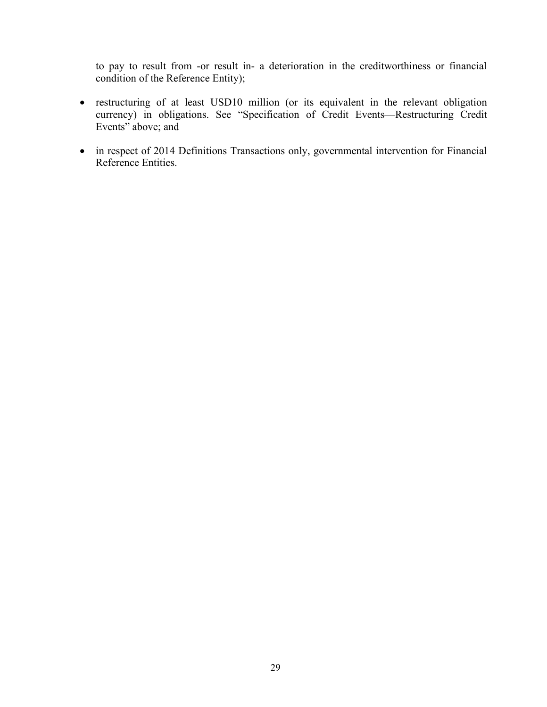to pay to result from -or result in- a deterioration in the creditworthiness or financial condition of the Reference Entity);

- restructuring of at least USD10 million (or its equivalent in the relevant obligation currency) in obligations. See "Specification of Credit Events—Restructuring Credit Events" above; and
- in respect of 2014 Definitions Transactions only, governmental intervention for Financial Reference Entities.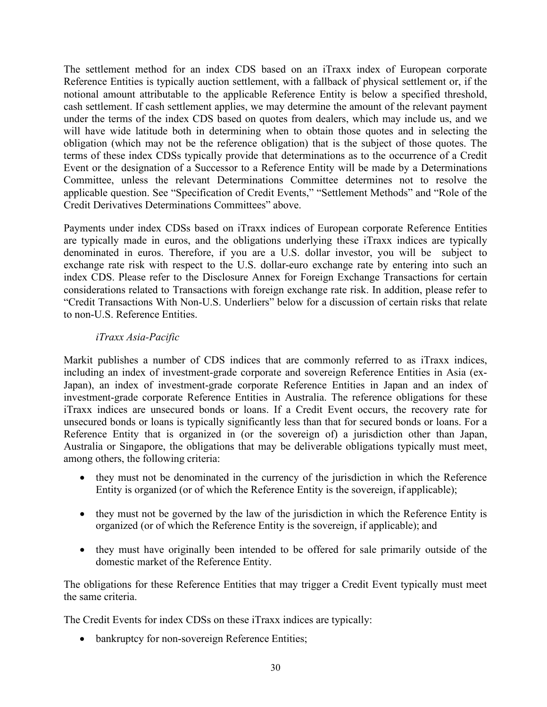The settlement method for an index CDS based on an iTraxx index of European corporate Reference Entities is typically auction settlement, with a fallback of physical settlement or, if the notional amount attributable to the applicable Reference Entity is below a specified threshold, cash settlement. If cash settlement applies, we may determine the amount of the relevant payment under the terms of the index CDS based on quotes from dealers, which may include us, and we will have wide latitude both in determining when to obtain those quotes and in selecting the obligation (which may not be the reference obligation) that is the subject of those quotes. The terms of these index CDSs typically provide that determinations as to the occurrence of a Credit Event or the designation of a Successor to a Reference Entity will be made by a Determinations Committee, unless the relevant Determinations Committee determines not to resolve the applicable question. See "Specification of Credit Events," "Settlement Methods" and "Role of the Credit Derivatives Determinations Committees" above.

Payments under index CDSs based on iTraxx indices of European corporate Reference Entities are typically made in euros, and the obligations underlying these iTraxx indices are typically denominated in euros. Therefore, if you are a U.S. dollar investor, you will be subject to exchange rate risk with respect to the U.S. dollar-euro exchange rate by entering into such an index CDS. Please refer to the Disclosure Annex for Foreign Exchange Transactions for certain considerations related to Transactions with foreign exchange rate risk. In addition, please refer to "Credit Transactions With Non-U.S. Underliers" below for a discussion of certain risks that relate to non-U.S. Reference Entities.

# *iTraxx Asia-Pacific*

Markit publishes a number of CDS indices that are commonly referred to as iTraxx indices, including an index of investment-grade corporate and sovereign Reference Entities in Asia (ex-Japan), an index of investment-grade corporate Reference Entities in Japan and an index of investment-grade corporate Reference Entities in Australia. The reference obligations for these iTraxx indices are unsecured bonds or loans. If a Credit Event occurs, the recovery rate for unsecured bonds or loans is typically significantly less than that for secured bonds or loans. For a Reference Entity that is organized in (or the sovereign of) a jurisdiction other than Japan, Australia or Singapore, the obligations that may be deliverable obligations typically must meet, among others, the following criteria:

- they must not be denominated in the currency of the jurisdiction in which the Reference Entity is organized (or of which the Reference Entity is the sovereign, if applicable);
- they must not be governed by the law of the jurisdiction in which the Reference Entity is organized (or of which the Reference Entity is the sovereign, if applicable); and
- they must have originally been intended to be offered for sale primarily outside of the domestic market of the Reference Entity.

The obligations for these Reference Entities that may trigger a Credit Event typically must meet the same criteria.

The Credit Events for index CDSs on these iTraxx indices are typically:

• bankruptcy for non-sovereign Reference Entities;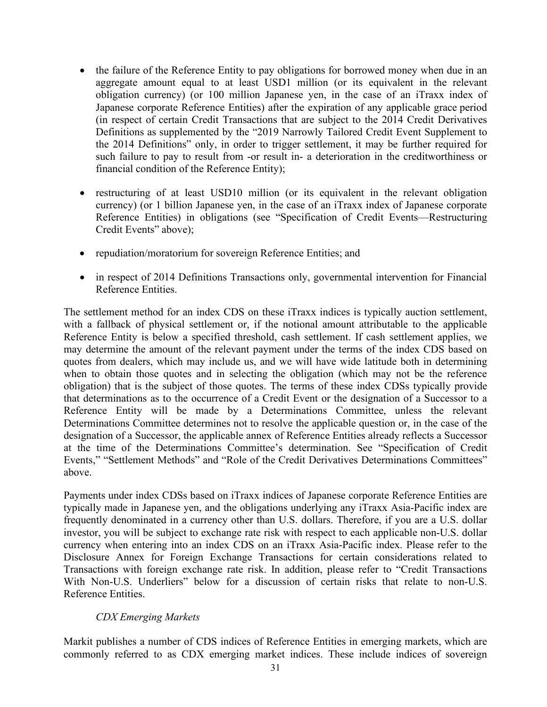- the failure of the Reference Entity to pay obligations for borrowed money when due in an aggregate amount equal to at least USD1 million (or its equivalent in the relevant obligation currency) (or 100 million Japanese yen, in the case of an iTraxx index of Japanese corporate Reference Entities) after the expiration of any applicable grace period (in respect of certain Credit Transactions that are subject to the 2014 Credit Derivatives Definitions as supplemented by the "2019 Narrowly Tailored Credit Event Supplement to the 2014 Definitions" only, in order to trigger settlement, it may be further required for such failure to pay to result from -or result in- a deterioration in the creditworthiness or financial condition of the Reference Entity);
- restructuring of at least USD10 million (or its equivalent in the relevant obligation currency) (or 1 billion Japanese yen, in the case of an iTraxx index of Japanese corporate Reference Entities) in obligations (see "Specification of Credit Events—Restructuring Credit Events" above);
- repudiation/moratorium for sovereign Reference Entities; and
- in respect of 2014 Definitions Transactions only, governmental intervention for Financial Reference Entities.

The settlement method for an index CDS on these iTraxx indices is typically auction settlement, with a fallback of physical settlement or, if the notional amount attributable to the applicable Reference Entity is below a specified threshold, cash settlement. If cash settlement applies, we may determine the amount of the relevant payment under the terms of the index CDS based on quotes from dealers, which may include us, and we will have wide latitude both in determining when to obtain those quotes and in selecting the obligation (which may not be the reference obligation) that is the subject of those quotes. The terms of these index CDSs typically provide that determinations as to the occurrence of a Credit Event or the designation of a Successor to a Reference Entity will be made by a Determinations Committee, unless the relevant Determinations Committee determines not to resolve the applicable question or, in the case of the designation of a Successor, the applicable annex of Reference Entities already reflects a Successor at the time of the Determinations Committee's determination. See "Specification of Credit Events," "Settlement Methods" and "Role of the Credit Derivatives Determinations Committees" above.

Payments under index CDSs based on iTraxx indices of Japanese corporate Reference Entities are typically made in Japanese yen, and the obligations underlying any iTraxx Asia-Pacific index are frequently denominated in a currency other than U.S. dollars. Therefore, if you are a U.S. dollar investor, you will be subject to exchange rate risk with respect to each applicable non-U.S. dollar currency when entering into an index CDS on an iTraxx Asia-Pacific index. Please refer to the Disclosure Annex for Foreign Exchange Transactions for certain considerations related to Transactions with foreign exchange rate risk. In addition, please refer to "Credit Transactions With Non-U.S. Underliers" below for a discussion of certain risks that relate to non-U.S. Reference Entities.

#### *CDX Emerging Markets*

Markit publishes a number of CDS indices of Reference Entities in emerging markets, which are commonly referred to as CDX emerging market indices. These include indices of sovereign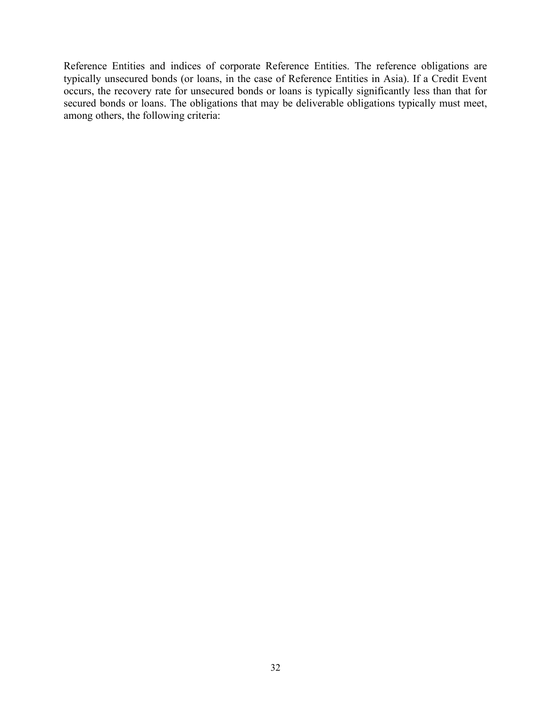Reference Entities and indices of corporate Reference Entities. The reference obligations are typically unsecured bonds (or loans, in the case of Reference Entities in Asia). If a Credit Event occurs, the recovery rate for unsecured bonds or loans is typically significantly less than that for secured bonds or loans. The obligations that may be deliverable obligations typically must meet, among others, the following criteria: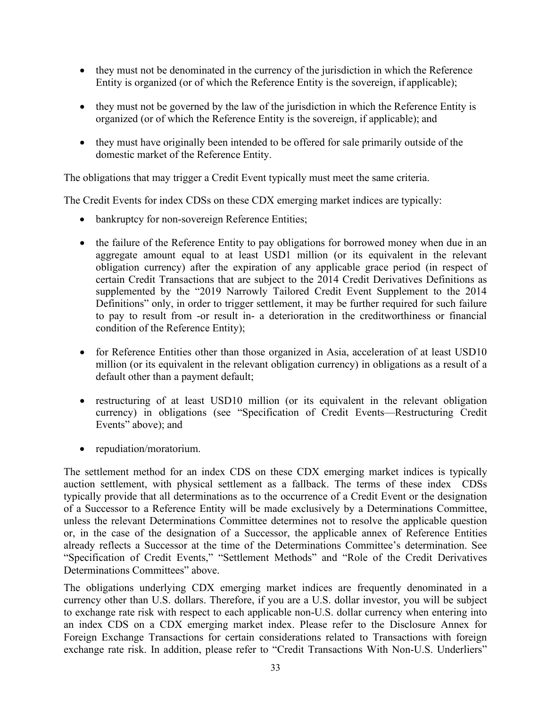- they must not be denominated in the currency of the jurisdiction in which the Reference Entity is organized (or of which the Reference Entity is the sovereign, if applicable);
- they must not be governed by the law of the jurisdiction in which the Reference Entity is organized (or of which the Reference Entity is the sovereign, if applicable); and
- they must have originally been intended to be offered for sale primarily outside of the domestic market of the Reference Entity.

The obligations that may trigger a Credit Event typically must meet the same criteria.

The Credit Events for index CDSs on these CDX emerging market indices are typically:

- bankruptcy for non-sovereign Reference Entities;
- the failure of the Reference Entity to pay obligations for borrowed money when due in an aggregate amount equal to at least USD1 million (or its equivalent in the relevant obligation currency) after the expiration of any applicable grace period (in respect of certain Credit Transactions that are subject to the 2014 Credit Derivatives Definitions as supplemented by the "2019 Narrowly Tailored Credit Event Supplement to the 2014 Definitions" only, in order to trigger settlement, it may be further required for such failure to pay to result from -or result in- a deterioration in the creditworthiness or financial condition of the Reference Entity);
- for Reference Entities other than those organized in Asia, acceleration of at least USD10 million (or its equivalent in the relevant obligation currency) in obligations as a result of a default other than a payment default;
- restructuring of at least USD10 million (or its equivalent in the relevant obligation currency) in obligations (see "Specification of Credit Events—Restructuring Credit Events" above); and
- repudiation/moratorium.

The settlement method for an index CDS on these CDX emerging market indices is typically auction settlement, with physical settlement as a fallback. The terms of these index CDSs typically provide that all determinations as to the occurrence of a Credit Event or the designation of a Successor to a Reference Entity will be made exclusively by a Determinations Committee, unless the relevant Determinations Committee determines not to resolve the applicable question or, in the case of the designation of a Successor, the applicable annex of Reference Entities already reflects a Successor at the time of the Determinations Committee's determination. See "Specification of Credit Events," "Settlement Methods" and "Role of the Credit Derivatives Determinations Committees" above.

The obligations underlying CDX emerging market indices are frequently denominated in a currency other than U.S. dollars. Therefore, if you are a U.S. dollar investor, you will be subject to exchange rate risk with respect to each applicable non-U.S. dollar currency when entering into an index CDS on a CDX emerging market index. Please refer to the Disclosure Annex for Foreign Exchange Transactions for certain considerations related to Transactions with foreign exchange rate risk. In addition, please refer to "Credit Transactions With Non-U.S. Underliers"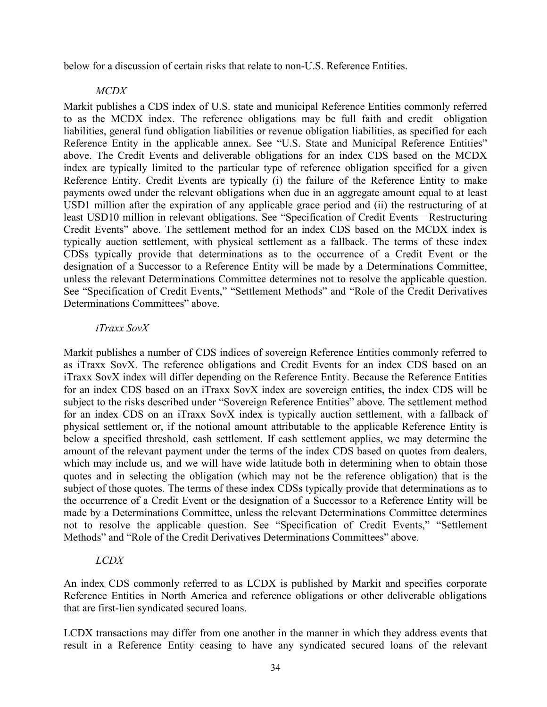below for a discussion of certain risks that relate to non-U.S. Reference Entities.

## *MCDX*

Markit publishes a CDS index of U.S. state and municipal Reference Entities commonly referred to as the MCDX index. The reference obligations may be full faith and credit obligation liabilities, general fund obligation liabilities or revenue obligation liabilities, as specified for each Reference Entity in the applicable annex. See "U.S. State and Municipal Reference Entities" above. The Credit Events and deliverable obligations for an index CDS based on the MCDX index are typically limited to the particular type of reference obligation specified for a given Reference Entity. Credit Events are typically (i) the failure of the Reference Entity to make payments owed under the relevant obligations when due in an aggregate amount equal to at least USD1 million after the expiration of any applicable grace period and (ii) the restructuring of at least USD10 million in relevant obligations. See "Specification of Credit Events—Restructuring Credit Events" above. The settlement method for an index CDS based on the MCDX index is typically auction settlement, with physical settlement as a fallback. The terms of these index CDSs typically provide that determinations as to the occurrence of a Credit Event or the designation of a Successor to a Reference Entity will be made by a Determinations Committee, unless the relevant Determinations Committee determines not to resolve the applicable question. See "Specification of Credit Events," "Settlement Methods" and "Role of the Credit Derivatives Determinations Committees" above.

#### *iTraxx SovX*

Markit publishes a number of CDS indices of sovereign Reference Entities commonly referred to as iTraxx SovX. The reference obligations and Credit Events for an index CDS based on an iTraxx SovX index will differ depending on the Reference Entity. Because the Reference Entities for an index CDS based on an iTraxx SovX index are sovereign entities, the index CDS will be subject to the risks described under "Sovereign Reference Entities" above. The settlement method for an index CDS on an iTraxx SovX index is typically auction settlement, with a fallback of physical settlement or, if the notional amount attributable to the applicable Reference Entity is below a specified threshold, cash settlement. If cash settlement applies, we may determine the amount of the relevant payment under the terms of the index CDS based on quotes from dealers, which may include us, and we will have wide latitude both in determining when to obtain those quotes and in selecting the obligation (which may not be the reference obligation) that is the subject of those quotes. The terms of these index CDSs typically provide that determinations as to the occurrence of a Credit Event or the designation of a Successor to a Reference Entity will be made by a Determinations Committee, unless the relevant Determinations Committee determines not to resolve the applicable question. See "Specification of Credit Events," "Settlement Methods" and "Role of the Credit Derivatives Determinations Committees" above.

# *LCDX*

An index CDS commonly referred to as LCDX is published by Markit and specifies corporate Reference Entities in North America and reference obligations or other deliverable obligations that are first-lien syndicated secured loans.

LCDX transactions may differ from one another in the manner in which they address events that result in a Reference Entity ceasing to have any syndicated secured loans of the relevant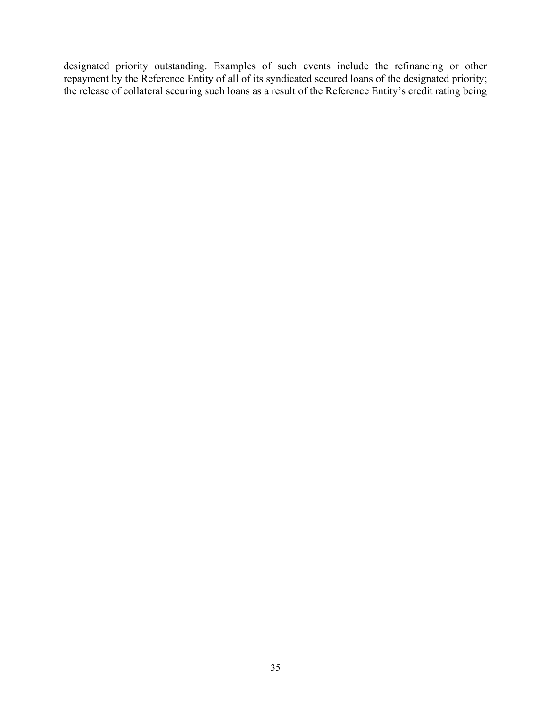designated priority outstanding. Examples of such events include the refinancing or other repayment by the Reference Entity of all of its syndicated secured loans of the designated priority; the release of collateral securing such loans as a result of the Reference Entity's credit rating being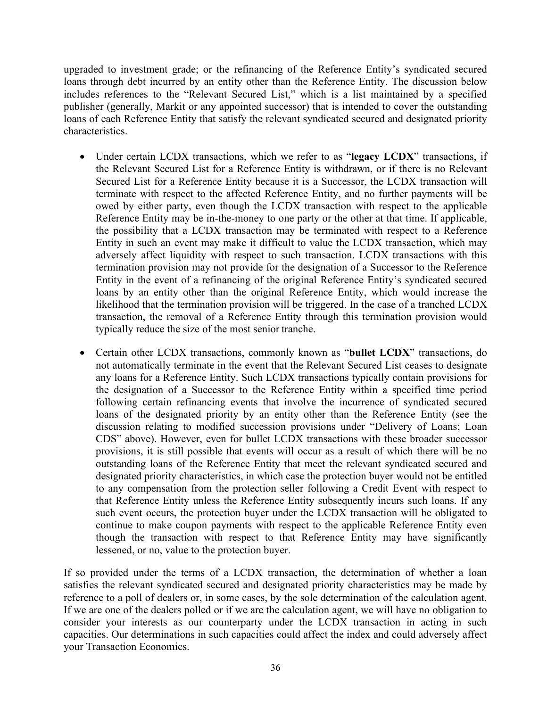upgraded to investment grade; or the refinancing of the Reference Entity's syndicated secured loans through debt incurred by an entity other than the Reference Entity. The discussion below includes references to the "Relevant Secured List," which is a list maintained by a specified publisher (generally, Markit or any appointed successor) that is intended to cover the outstanding loans of each Reference Entity that satisfy the relevant syndicated secured and designated priority characteristics.

- Under certain LCDX transactions, which we refer to as "**legacy LCDX**" transactions, if the Relevant Secured List for a Reference Entity is withdrawn, or if there is no Relevant Secured List for a Reference Entity because it is a Successor, the LCDX transaction will terminate with respect to the affected Reference Entity, and no further payments will be owed by either party, even though the LCDX transaction with respect to the applicable Reference Entity may be in-the-money to one party or the other at that time. If applicable, the possibility that a LCDX transaction may be terminated with respect to a Reference Entity in such an event may make it difficult to value the LCDX transaction, which may adversely affect liquidity with respect to such transaction. LCDX transactions with this termination provision may not provide for the designation of a Successor to the Reference Entity in the event of a refinancing of the original Reference Entity's syndicated secured loans by an entity other than the original Reference Entity, which would increase the likelihood that the termination provision will be triggered. In the case of a tranched LCDX transaction, the removal of a Reference Entity through this termination provision would typically reduce the size of the most senior tranche.
- Certain other LCDX transactions, commonly known as "**bullet LCDX**" transactions, do not automatically terminate in the event that the Relevant Secured List ceases to designate any loans for a Reference Entity. Such LCDX transactions typically contain provisions for the designation of a Successor to the Reference Entity within a specified time period following certain refinancing events that involve the incurrence of syndicated secured loans of the designated priority by an entity other than the Reference Entity (see the discussion relating to modified succession provisions under "Delivery of Loans; Loan CDS" above). However, even for bullet LCDX transactions with these broader successor provisions, it is still possible that events will occur as a result of which there will be no outstanding loans of the Reference Entity that meet the relevant syndicated secured and designated priority characteristics, in which case the protection buyer would not be entitled to any compensation from the protection seller following a Credit Event with respect to that Reference Entity unless the Reference Entity subsequently incurs such loans. If any such event occurs, the protection buyer under the LCDX transaction will be obligated to continue to make coupon payments with respect to the applicable Reference Entity even though the transaction with respect to that Reference Entity may have significantly lessened, or no, value to the protection buyer.

If so provided under the terms of a LCDX transaction, the determination of whether a loan satisfies the relevant syndicated secured and designated priority characteristics may be made by reference to a poll of dealers or, in some cases, by the sole determination of the calculation agent. If we are one of the dealers polled or if we are the calculation agent, we will have no obligation to consider your interests as our counterparty under the LCDX transaction in acting in such capacities. Our determinations in such capacities could affect the index and could adversely affect your Transaction Economics.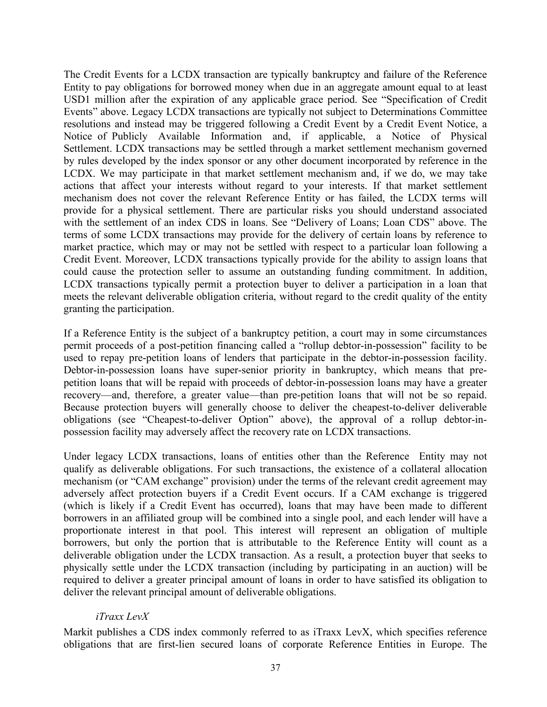The Credit Events for a LCDX transaction are typically bankruptcy and failure of the Reference Entity to pay obligations for borrowed money when due in an aggregate amount equal to at least USD1 million after the expiration of any applicable grace period. See "Specification of Credit Events" above. Legacy LCDX transactions are typically not subject to Determinations Committee resolutions and instead may be triggered following a Credit Event by a Credit Event Notice, a Notice of Publicly Available Information and, if applicable, a Notice of Physical Settlement. LCDX transactions may be settled through a market settlement mechanism governed by rules developed by the index sponsor or any other document incorporated by reference in the LCDX. We may participate in that market settlement mechanism and, if we do, we may take actions that affect your interests without regard to your interests. If that market settlement mechanism does not cover the relevant Reference Entity or has failed, the LCDX terms will provide for a physical settlement. There are particular risks you should understand associated with the settlement of an index CDS in loans. See "Delivery of Loans; Loan CDS" above. The terms of some LCDX transactions may provide for the delivery of certain loans by reference to market practice, which may or may not be settled with respect to a particular loan following a Credit Event. Moreover, LCDX transactions typically provide for the ability to assign loans that could cause the protection seller to assume an outstanding funding commitment. In addition, LCDX transactions typically permit a protection buyer to deliver a participation in a loan that meets the relevant deliverable obligation criteria, without regard to the credit quality of the entity granting the participation.

If a Reference Entity is the subject of a bankruptcy petition, a court may in some circumstances permit proceeds of a post-petition financing called a "rollup debtor-in-possession" facility to be used to repay pre-petition loans of lenders that participate in the debtor-in-possession facility. Debtor-in-possession loans have super-senior priority in bankruptcy, which means that prepetition loans that will be repaid with proceeds of debtor-in-possession loans may have a greater recovery—and, therefore, a greater value—than pre-petition loans that will not be so repaid. Because protection buyers will generally choose to deliver the cheapest-to-deliver deliverable obligations (see "Cheapest-to-deliver Option" above), the approval of a rollup debtor-inpossession facility may adversely affect the recovery rate on LCDX transactions.

Under legacy LCDX transactions, loans of entities other than the Reference Entity may not qualify as deliverable obligations. For such transactions, the existence of a collateral allocation mechanism (or "CAM exchange" provision) under the terms of the relevant credit agreement may adversely affect protection buyers if a Credit Event occurs. If a CAM exchange is triggered (which is likely if a Credit Event has occurred), loans that may have been made to different borrowers in an affiliated group will be combined into a single pool, and each lender will have a proportionate interest in that pool. This interest will represent an obligation of multiple borrowers, but only the portion that is attributable to the Reference Entity will count as a deliverable obligation under the LCDX transaction. As a result, a protection buyer that seeks to physically settle under the LCDX transaction (including by participating in an auction) will be required to deliver a greater principal amount of loans in order to have satisfied its obligation to deliver the relevant principal amount of deliverable obligations.

#### *iTraxx LevX*

Markit publishes a CDS index commonly referred to as iTraxx LevX, which specifies reference obligations that are first-lien secured loans of corporate Reference Entities in Europe. The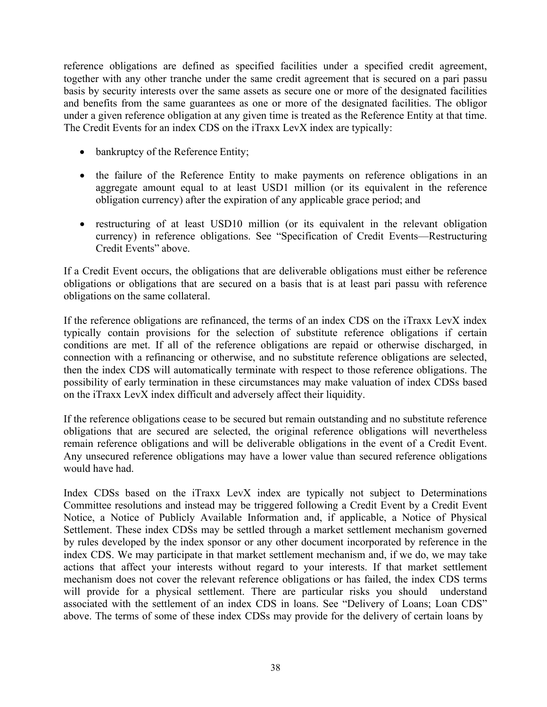reference obligations are defined as specified facilities under a specified credit agreement, together with any other tranche under the same credit agreement that is secured on a pari passu basis by security interests over the same assets as secure one or more of the designated facilities and benefits from the same guarantees as one or more of the designated facilities. The obligor under a given reference obligation at any given time is treated as the Reference Entity at that time. The Credit Events for an index CDS on the iTraxx LevX index are typically:

- bankruptcy of the Reference Entity;
- the failure of the Reference Entity to make payments on reference obligations in an aggregate amount equal to at least USD1 million (or its equivalent in the reference obligation currency) after the expiration of any applicable grace period; and
- restructuring of at least USD10 million (or its equivalent in the relevant obligation currency) in reference obligations. See "Specification of Credit Events—Restructuring Credit Events" above.

If a Credit Event occurs, the obligations that are deliverable obligations must either be reference obligations or obligations that are secured on a basis that is at least pari passu with reference obligations on the same collateral.

If the reference obligations are refinanced, the terms of an index CDS on the iTraxx LevX index typically contain provisions for the selection of substitute reference obligations if certain conditions are met. If all of the reference obligations are repaid or otherwise discharged, in connection with a refinancing or otherwise, and no substitute reference obligations are selected, then the index CDS will automatically terminate with respect to those reference obligations. The possibility of early termination in these circumstances may make valuation of index CDSs based on the iTraxx LevX index difficult and adversely affect their liquidity.

If the reference obligations cease to be secured but remain outstanding and no substitute reference obligations that are secured are selected, the original reference obligations will nevertheless remain reference obligations and will be deliverable obligations in the event of a Credit Event. Any unsecured reference obligations may have a lower value than secured reference obligations would have had.

Index CDSs based on the iTraxx LevX index are typically not subject to Determinations Committee resolutions and instead may be triggered following a Credit Event by a Credit Event Notice, a Notice of Publicly Available Information and, if applicable, a Notice of Physical Settlement. These index CDSs may be settled through a market settlement mechanism governed by rules developed by the index sponsor or any other document incorporated by reference in the index CDS. We may participate in that market settlement mechanism and, if we do, we may take actions that affect your interests without regard to your interests. If that market settlement mechanism does not cover the relevant reference obligations or has failed, the index CDS terms will provide for a physical settlement. There are particular risks you should understand associated with the settlement of an index CDS in loans. See "Delivery of Loans; Loan CDS" above. The terms of some of these index CDSs may provide for the delivery of certain loans by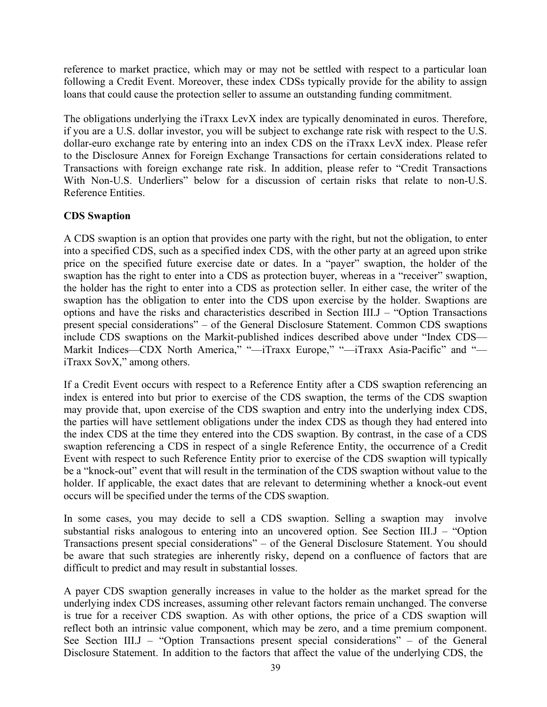reference to market practice, which may or may not be settled with respect to a particular loan following a Credit Event. Moreover, these index CDSs typically provide for the ability to assign loans that could cause the protection seller to assume an outstanding funding commitment.

The obligations underlying the iTraxx LevX index are typically denominated in euros. Therefore, if you are a U.S. dollar investor, you will be subject to exchange rate risk with respect to the U.S. dollar-euro exchange rate by entering into an index CDS on the iTraxx LevX index. Please refer to the Disclosure Annex for Foreign Exchange Transactions for certain considerations related to Transactions with foreign exchange rate risk. In addition, please refer to "Credit Transactions With Non-U.S. Underliers" below for a discussion of certain risks that relate to non-U.S. Reference Entities.

# **CDS Swaption**

A CDS swaption is an option that provides one party with the right, but not the obligation, to enter into a specified CDS, such as a specified index CDS, with the other party at an agreed upon strike price on the specified future exercise date or dates. In a "payer" swaption, the holder of the swaption has the right to enter into a CDS as protection buyer, whereas in a "receiver" swaption, the holder has the right to enter into a CDS as protection seller. In either case, the writer of the swaption has the obligation to enter into the CDS upon exercise by the holder. Swaptions are options and have the risks and characteristics described in Section III.J – "Option Transactions present special considerations" – of the General Disclosure Statement. Common CDS swaptions include CDS swaptions on the Markit-published indices described above under "Index CDS— Markit Indices—CDX North America," "-iTraxx Europe," "-iTraxx Asia-Pacific" and "iTraxx SovX," among others.

If a Credit Event occurs with respect to a Reference Entity after a CDS swaption referencing an index is entered into but prior to exercise of the CDS swaption, the terms of the CDS swaption may provide that, upon exercise of the CDS swaption and entry into the underlying index CDS, the parties will have settlement obligations under the index CDS as though they had entered into the index CDS at the time they entered into the CDS swaption. By contrast, in the case of a CDS swaption referencing a CDS in respect of a single Reference Entity, the occurrence of a Credit Event with respect to such Reference Entity prior to exercise of the CDS swaption will typically be a "knock-out" event that will result in the termination of the CDS swaption without value to the holder. If applicable, the exact dates that are relevant to determining whether a knock-out event occurs will be specified under the terms of the CDS swaption.

In some cases, you may decide to sell a CDS swaption. Selling a swaption may involve substantial risks analogous to entering into an uncovered option. See Section III.J – "Option Transactions present special considerations" – of the General Disclosure Statement. You should be aware that such strategies are inherently risky, depend on a confluence of factors that are difficult to predict and may result in substantial losses.

A payer CDS swaption generally increases in value to the holder as the market spread for the underlying index CDS increases, assuming other relevant factors remain unchanged. The converse is true for a receiver CDS swaption. As with other options, the price of a CDS swaption will reflect both an intrinsic value component, which may be zero, and a time premium component. See Section III.J – "Option Transactions present special considerations" – of the General Disclosure Statement. In addition to the factors that affect the value of the underlying CDS, the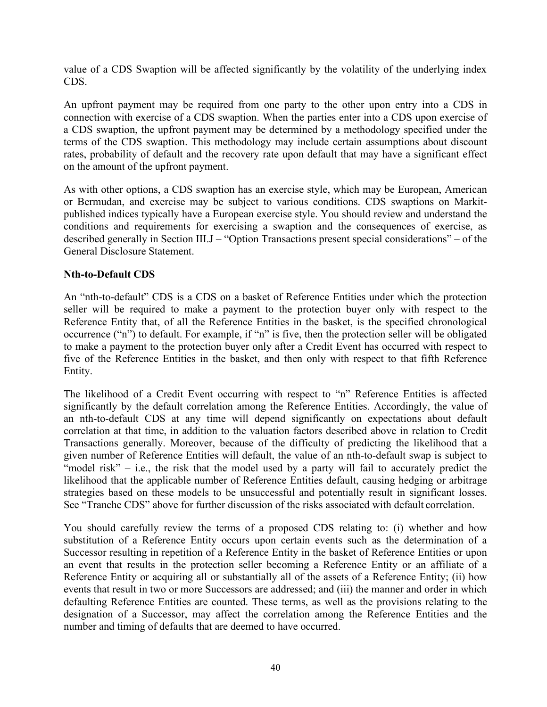value of a CDS Swaption will be affected significantly by the volatility of the underlying index CDS.

An upfront payment may be required from one party to the other upon entry into a CDS in connection with exercise of a CDS swaption. When the parties enter into a CDS upon exercise of a CDS swaption, the upfront payment may be determined by a methodology specified under the terms of the CDS swaption. This methodology may include certain assumptions about discount rates, probability of default and the recovery rate upon default that may have a significant effect on the amount of the upfront payment.

As with other options, a CDS swaption has an exercise style, which may be European, American or Bermudan, and exercise may be subject to various conditions. CDS swaptions on Markitpublished indices typically have a European exercise style. You should review and understand the conditions and requirements for exercising a swaption and the consequences of exercise, as described generally in Section III.J – "Option Transactions present special considerations" – of the General Disclosure Statement.

#### **Nth-to-Default CDS**

An "nth-to-default" CDS is a CDS on a basket of Reference Entities under which the protection seller will be required to make a payment to the protection buyer only with respect to the Reference Entity that, of all the Reference Entities in the basket, is the specified chronological occurrence ("n") to default. For example, if "n" is five, then the protection seller will be obligated to make a payment to the protection buyer only after a Credit Event has occurred with respect to five of the Reference Entities in the basket, and then only with respect to that fifth Reference Entity.

The likelihood of a Credit Event occurring with respect to "n" Reference Entities is affected significantly by the default correlation among the Reference Entities. Accordingly, the value of an nth-to-default CDS at any time will depend significantly on expectations about default correlation at that time, in addition to the valuation factors described above in relation to Credit Transactions generally. Moreover, because of the difficulty of predicting the likelihood that a given number of Reference Entities will default, the value of an nth-to-default swap is subject to "model risk" – i.e., the risk that the model used by a party will fail to accurately predict the likelihood that the applicable number of Reference Entities default, causing hedging or arbitrage strategies based on these models to be unsuccessful and potentially result in significant losses. See "Tranche CDS" above for further discussion of the risks associated with default correlation.

You should carefully review the terms of a proposed CDS relating to: (i) whether and how substitution of a Reference Entity occurs upon certain events such as the determination of a Successor resulting in repetition of a Reference Entity in the basket of Reference Entities or upon an event that results in the protection seller becoming a Reference Entity or an affiliate of a Reference Entity or acquiring all or substantially all of the assets of a Reference Entity; (ii) how events that result in two or more Successors are addressed; and (iii) the manner and order in which defaulting Reference Entities are counted. These terms, as well as the provisions relating to the designation of a Successor, may affect the correlation among the Reference Entities and the number and timing of defaults that are deemed to have occurred.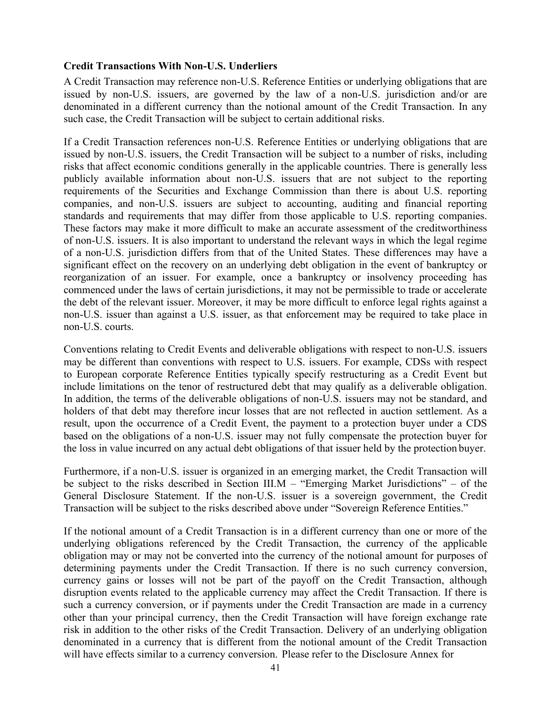### **Credit Transactions With Non-U.S. Underliers**

A Credit Transaction may reference non-U.S. Reference Entities or underlying obligations that are issued by non-U.S. issuers, are governed by the law of a non-U.S. jurisdiction and/or are denominated in a different currency than the notional amount of the Credit Transaction. In any such case, the Credit Transaction will be subject to certain additional risks.

If a Credit Transaction references non-U.S. Reference Entities or underlying obligations that are issued by non-U.S. issuers, the Credit Transaction will be subject to a number of risks, including risks that affect economic conditions generally in the applicable countries. There is generally less publicly available information about non-U.S. issuers that are not subject to the reporting requirements of the Securities and Exchange Commission than there is about U.S. reporting companies, and non-U.S. issuers are subject to accounting, auditing and financial reporting standards and requirements that may differ from those applicable to U.S. reporting companies. These factors may make it more difficult to make an accurate assessment of the creditworthiness of non-U.S. issuers. It is also important to understand the relevant ways in which the legal regime of a non-U.S. jurisdiction differs from that of the United States. These differences may have a significant effect on the recovery on an underlying debt obligation in the event of bankruptcy or reorganization of an issuer. For example, once a bankruptcy or insolvency proceeding has commenced under the laws of certain jurisdictions, it may not be permissible to trade or accelerate the debt of the relevant issuer. Moreover, it may be more difficult to enforce legal rights against a non-U.S. issuer than against a U.S. issuer, as that enforcement may be required to take place in non-U.S. courts.

Conventions relating to Credit Events and deliverable obligations with respect to non-U.S. issuers may be different than conventions with respect to U.S. issuers. For example, CDSs with respect to European corporate Reference Entities typically specify restructuring as a Credit Event but include limitations on the tenor of restructured debt that may qualify as a deliverable obligation. In addition, the terms of the deliverable obligations of non-U.S. issuers may not be standard, and holders of that debt may therefore incur losses that are not reflected in auction settlement. As a result, upon the occurrence of a Credit Event, the payment to a protection buyer under a CDS based on the obligations of a non-U.S. issuer may not fully compensate the protection buyer for the loss in value incurred on any actual debt obligations of that issuer held by the protection buyer.

Furthermore, if a non-U.S. issuer is organized in an emerging market, the Credit Transaction will be subject to the risks described in Section III.M – "Emerging Market Jurisdictions" – of the General Disclosure Statement. If the non-U.S. issuer is a sovereign government, the Credit Transaction will be subject to the risks described above under "Sovereign Reference Entities."

If the notional amount of a Credit Transaction is in a different currency than one or more of the underlying obligations referenced by the Credit Transaction, the currency of the applicable obligation may or may not be converted into the currency of the notional amount for purposes of determining payments under the Credit Transaction. If there is no such currency conversion, currency gains or losses will not be part of the payoff on the Credit Transaction, although disruption events related to the applicable currency may affect the Credit Transaction. If there is such a currency conversion, or if payments under the Credit Transaction are made in a currency other than your principal currency, then the Credit Transaction will have foreign exchange rate risk in addition to the other risks of the Credit Transaction. Delivery of an underlying obligation denominated in a currency that is different from the notional amount of the Credit Transaction will have effects similar to a currency conversion. Please refer to the Disclosure Annex for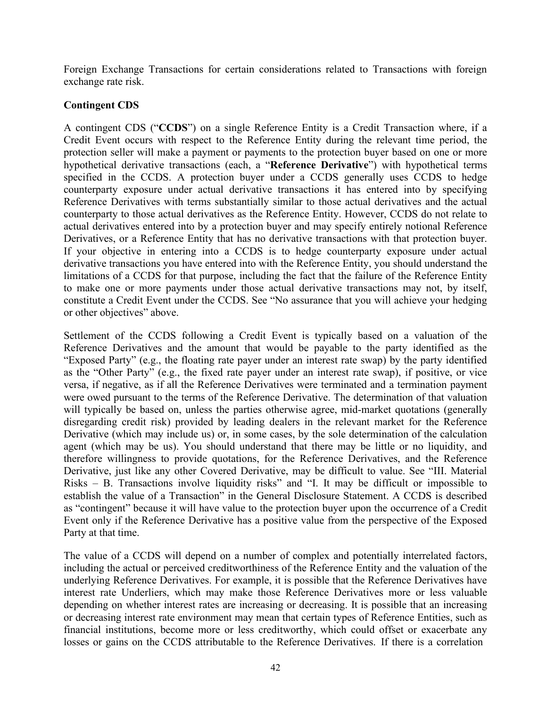Foreign Exchange Transactions for certain considerations related to Transactions with foreign exchange rate risk.

## **Contingent CDS**

A contingent CDS ("**CCDS**") on a single Reference Entity is a Credit Transaction where, if a Credit Event occurs with respect to the Reference Entity during the relevant time period, the protection seller will make a payment or payments to the protection buyer based on one or more hypothetical derivative transactions (each, a "**Reference Derivative**") with hypothetical terms specified in the CCDS. A protection buyer under a CCDS generally uses CCDS to hedge counterparty exposure under actual derivative transactions it has entered into by specifying Reference Derivatives with terms substantially similar to those actual derivatives and the actual counterparty to those actual derivatives as the Reference Entity. However, CCDS do not relate to actual derivatives entered into by a protection buyer and may specify entirely notional Reference Derivatives, or a Reference Entity that has no derivative transactions with that protection buyer. If your objective in entering into a CCDS is to hedge counterparty exposure under actual derivative transactions you have entered into with the Reference Entity, you should understand the limitations of a CCDS for that purpose, including the fact that the failure of the Reference Entity to make one or more payments under those actual derivative transactions may not, by itself, constitute a Credit Event under the CCDS. See "No assurance that you will achieve your hedging or other objectives" above.

Settlement of the CCDS following a Credit Event is typically based on a valuation of the Reference Derivatives and the amount that would be payable to the party identified as the "Exposed Party" (e.g., the floating rate payer under an interest rate swap) by the party identified as the "Other Party" (e.g., the fixed rate payer under an interest rate swap), if positive, or vice versa, if negative, as if all the Reference Derivatives were terminated and a termination payment were owed pursuant to the terms of the Reference Derivative. The determination of that valuation will typically be based on, unless the parties otherwise agree, mid-market quotations (generally disregarding credit risk) provided by leading dealers in the relevant market for the Reference Derivative (which may include us) or, in some cases, by the sole determination of the calculation agent (which may be us). You should understand that there may be little or no liquidity, and therefore willingness to provide quotations, for the Reference Derivatives, and the Reference Derivative, just like any other Covered Derivative, may be difficult to value. See "III. Material Risks – B. Transactions involve liquidity risks" and "I. It may be difficult or impossible to establish the value of a Transaction" in the General Disclosure Statement. A CCDS is described as "contingent" because it will have value to the protection buyer upon the occurrence of a Credit Event only if the Reference Derivative has a positive value from the perspective of the Exposed Party at that time.

The value of a CCDS will depend on a number of complex and potentially interrelated factors, including the actual or perceived creditworthiness of the Reference Entity and the valuation of the underlying Reference Derivatives. For example, it is possible that the Reference Derivatives have interest rate Underliers, which may make those Reference Derivatives more or less valuable depending on whether interest rates are increasing or decreasing. It is possible that an increasing or decreasing interest rate environment may mean that certain types of Reference Entities, such as financial institutions, become more or less creditworthy, which could offset or exacerbate any losses or gains on the CCDS attributable to the Reference Derivatives. If there is a correlation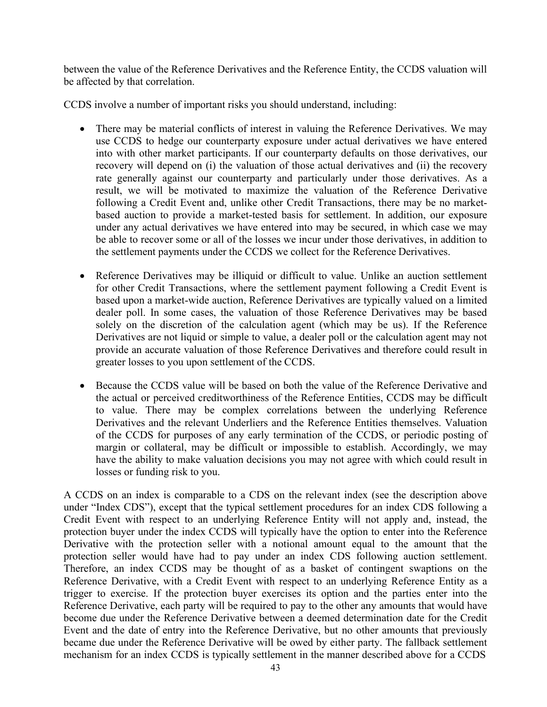between the value of the Reference Derivatives and the Reference Entity, the CCDS valuation will be affected by that correlation.

CCDS involve a number of important risks you should understand, including:

- There may be material conflicts of interest in valuing the Reference Derivatives. We may use CCDS to hedge our counterparty exposure under actual derivatives we have entered into with other market participants. If our counterparty defaults on those derivatives, our recovery will depend on (i) the valuation of those actual derivatives and (ii) the recovery rate generally against our counterparty and particularly under those derivatives. As a result, we will be motivated to maximize the valuation of the Reference Derivative following a Credit Event and, unlike other Credit Transactions, there may be no marketbased auction to provide a market-tested basis for settlement. In addition, our exposure under any actual derivatives we have entered into may be secured, in which case we may be able to recover some or all of the losses we incur under those derivatives, in addition to the settlement payments under the CCDS we collect for the Reference Derivatives.
- Reference Derivatives may be illiquid or difficult to value. Unlike an auction settlement for other Credit Transactions, where the settlement payment following a Credit Event is based upon a market-wide auction, Reference Derivatives are typically valued on a limited dealer poll. In some cases, the valuation of those Reference Derivatives may be based solely on the discretion of the calculation agent (which may be us). If the Reference Derivatives are not liquid or simple to value, a dealer poll or the calculation agent may not provide an accurate valuation of those Reference Derivatives and therefore could result in greater losses to you upon settlement of the CCDS.
- Because the CCDS value will be based on both the value of the Reference Derivative and the actual or perceived creditworthiness of the Reference Entities, CCDS may be difficult to value. There may be complex correlations between the underlying Reference Derivatives and the relevant Underliers and the Reference Entities themselves. Valuation of the CCDS for purposes of any early termination of the CCDS, or periodic posting of margin or collateral, may be difficult or impossible to establish. Accordingly, we may have the ability to make valuation decisions you may not agree with which could result in losses or funding risk to you.

A CCDS on an index is comparable to a CDS on the relevant index (see the description above under "Index CDS"), except that the typical settlement procedures for an index CDS following a Credit Event with respect to an underlying Reference Entity will not apply and, instead, the protection buyer under the index CCDS will typically have the option to enter into the Reference Derivative with the protection seller with a notional amount equal to the amount that the protection seller would have had to pay under an index CDS following auction settlement. Therefore, an index CCDS may be thought of as a basket of contingent swaptions on the Reference Derivative, with a Credit Event with respect to an underlying Reference Entity as a trigger to exercise. If the protection buyer exercises its option and the parties enter into the Reference Derivative, each party will be required to pay to the other any amounts that would have become due under the Reference Derivative between a deemed determination date for the Credit Event and the date of entry into the Reference Derivative, but no other amounts that previously became due under the Reference Derivative will be owed by either party. The fallback settlement mechanism for an index CCDS is typically settlement in the manner described above for a CCDS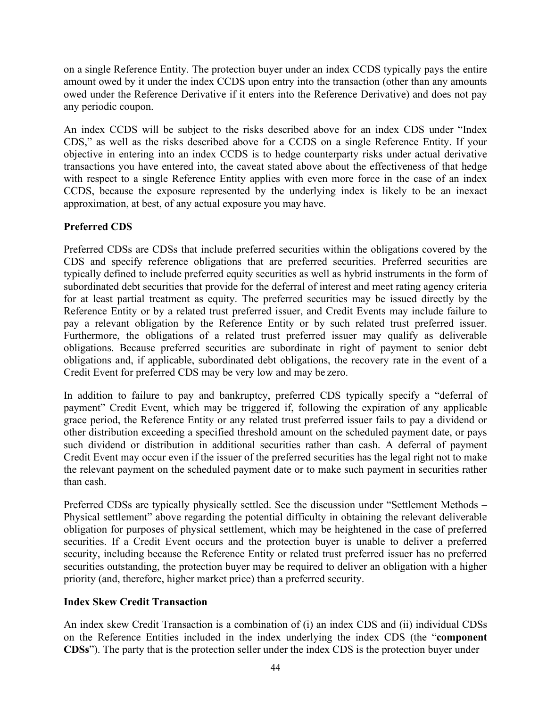on a single Reference Entity. The protection buyer under an index CCDS typically pays the entire amount owed by it under the index CCDS upon entry into the transaction (other than any amounts owed under the Reference Derivative if it enters into the Reference Derivative) and does not pay any periodic coupon.

An index CCDS will be subject to the risks described above for an index CDS under "Index CDS," as well as the risks described above for a CCDS on a single Reference Entity. If your objective in entering into an index CCDS is to hedge counterparty risks under actual derivative transactions you have entered into, the caveat stated above about the effectiveness of that hedge with respect to a single Reference Entity applies with even more force in the case of an index CCDS, because the exposure represented by the underlying index is likely to be an inexact approximation, at best, of any actual exposure you may have.

# **Preferred CDS**

Preferred CDSs are CDSs that include preferred securities within the obligations covered by the CDS and specify reference obligations that are preferred securities. Preferred securities are typically defined to include preferred equity securities as well as hybrid instruments in the form of subordinated debt securities that provide for the deferral of interest and meet rating agency criteria for at least partial treatment as equity. The preferred securities may be issued directly by the Reference Entity or by a related trust preferred issuer, and Credit Events may include failure to pay a relevant obligation by the Reference Entity or by such related trust preferred issuer. Furthermore, the obligations of a related trust preferred issuer may qualify as deliverable obligations. Because preferred securities are subordinate in right of payment to senior debt obligations and, if applicable, subordinated debt obligations, the recovery rate in the event of a Credit Event for preferred CDS may be very low and may be zero.

In addition to failure to pay and bankruptcy, preferred CDS typically specify a "deferral of payment" Credit Event, which may be triggered if, following the expiration of any applicable grace period, the Reference Entity or any related trust preferred issuer fails to pay a dividend or other distribution exceeding a specified threshold amount on the scheduled payment date, or pays such dividend or distribution in additional securities rather than cash. A deferral of payment Credit Event may occur even if the issuer of the preferred securities has the legal right not to make the relevant payment on the scheduled payment date or to make such payment in securities rather than cash.

Preferred CDSs are typically physically settled. See the discussion under "Settlement Methods – Physical settlement" above regarding the potential difficulty in obtaining the relevant deliverable obligation for purposes of physical settlement, which may be heightened in the case of preferred securities. If a Credit Event occurs and the protection buyer is unable to deliver a preferred security, including because the Reference Entity or related trust preferred issuer has no preferred securities outstanding, the protection buyer may be required to deliver an obligation with a higher priority (and, therefore, higher market price) than a preferred security.

# **Index Skew Credit Transaction**

An index skew Credit Transaction is a combination of (i) an index CDS and (ii) individual CDSs on the Reference Entities included in the index underlying the index CDS (the "**component CDSs**"). The party that is the protection seller under the index CDS is the protection buyer under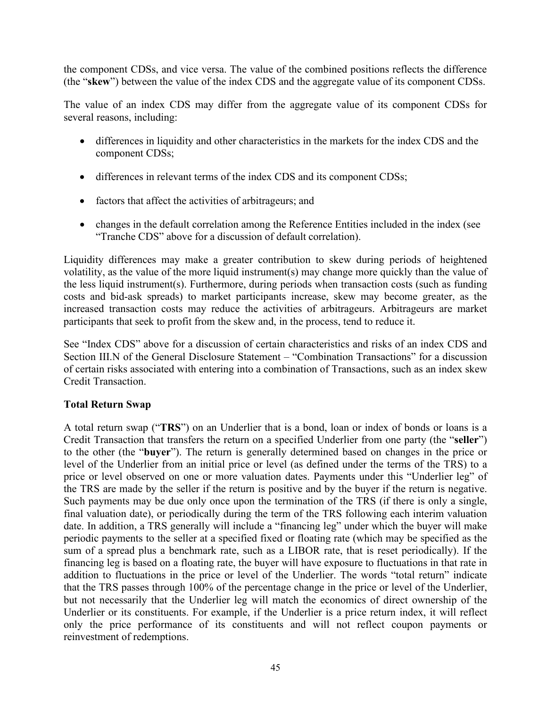the component CDSs, and vice versa. The value of the combined positions reflects the difference (the "**skew**") between the value of the index CDS and the aggregate value of its component CDSs.

The value of an index CDS may differ from the aggregate value of its component CDSs for several reasons, including:

- differences in liquidity and other characteristics in the markets for the index CDS and the component CDSs;
- differences in relevant terms of the index CDS and its component CDSs;
- factors that affect the activities of arbitrageurs; and
- changes in the default correlation among the Reference Entities included in the index (see "Tranche CDS" above for a discussion of default correlation).

Liquidity differences may make a greater contribution to skew during periods of heightened volatility, as the value of the more liquid instrument(s) may change more quickly than the value of the less liquid instrument(s). Furthermore, during periods when transaction costs (such as funding costs and bid-ask spreads) to market participants increase, skew may become greater, as the increased transaction costs may reduce the activities of arbitrageurs. Arbitrageurs are market participants that seek to profit from the skew and, in the process, tend to reduce it.

See "Index CDS" above for a discussion of certain characteristics and risks of an index CDS and Section III.N of the General Disclosure Statement – "Combination Transactions" for a discussion of certain risks associated with entering into a combination of Transactions, such as an index skew Credit Transaction.

#### **Total Return Swap**

A total return swap ("**TRS**") on an Underlier that is a bond, loan or index of bonds or loans is a Credit Transaction that transfers the return on a specified Underlier from one party (the "**seller**") to the other (the "**buyer**"). The return is generally determined based on changes in the price or level of the Underlier from an initial price or level (as defined under the terms of the TRS) to a price or level observed on one or more valuation dates. Payments under this "Underlier leg" of the TRS are made by the seller if the return is positive and by the buyer if the return is negative. Such payments may be due only once upon the termination of the TRS (if there is only a single, final valuation date), or periodically during the term of the TRS following each interim valuation date. In addition, a TRS generally will include a "financing leg" under which the buyer will make periodic payments to the seller at a specified fixed or floating rate (which may be specified as the sum of a spread plus a benchmark rate, such as a LIBOR rate, that is reset periodically). If the financing leg is based on a floating rate, the buyer will have exposure to fluctuations in that rate in addition to fluctuations in the price or level of the Underlier. The words "total return" indicate that the TRS passes through 100% of the percentage change in the price or level of the Underlier, but not necessarily that the Underlier leg will match the economics of direct ownership of the Underlier or its constituents. For example, if the Underlier is a price return index, it will reflect only the price performance of its constituents and will not reflect coupon payments or reinvestment of redemptions.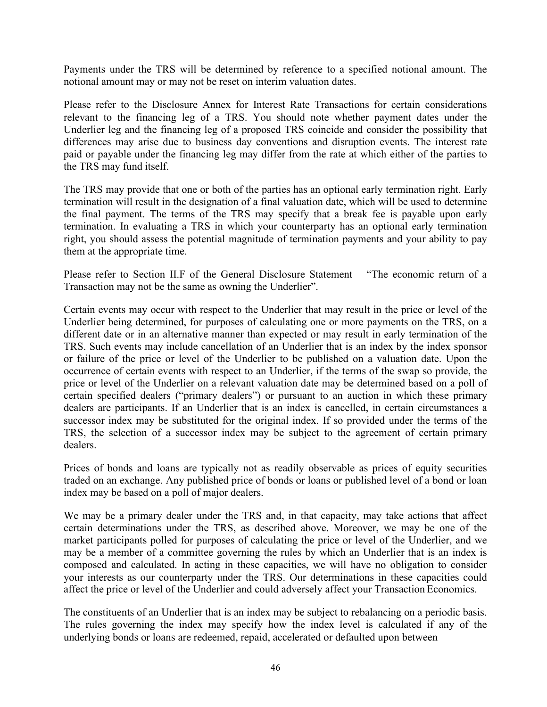Payments under the TRS will be determined by reference to a specified notional amount. The notional amount may or may not be reset on interim valuation dates.

Please refer to the Disclosure Annex for Interest Rate Transactions for certain considerations relevant to the financing leg of a TRS. You should note whether payment dates under the Underlier leg and the financing leg of a proposed TRS coincide and consider the possibility that differences may arise due to business day conventions and disruption events. The interest rate paid or payable under the financing leg may differ from the rate at which either of the parties to the TRS may fund itself.

The TRS may provide that one or both of the parties has an optional early termination right. Early termination will result in the designation of a final valuation date, which will be used to determine the final payment. The terms of the TRS may specify that a break fee is payable upon early termination. In evaluating a TRS in which your counterparty has an optional early termination right, you should assess the potential magnitude of termination payments and your ability to pay them at the appropriate time.

Please refer to Section II.F of the General Disclosure Statement – "The economic return of a Transaction may not be the same as owning the Underlier".

Certain events may occur with respect to the Underlier that may result in the price or level of the Underlier being determined, for purposes of calculating one or more payments on the TRS, on a different date or in an alternative manner than expected or may result in early termination of the TRS. Such events may include cancellation of an Underlier that is an index by the index sponsor or failure of the price or level of the Underlier to be published on a valuation date. Upon the occurrence of certain events with respect to an Underlier, if the terms of the swap so provide, the price or level of the Underlier on a relevant valuation date may be determined based on a poll of certain specified dealers ("primary dealers") or pursuant to an auction in which these primary dealers are participants. If an Underlier that is an index is cancelled, in certain circumstances a successor index may be substituted for the original index. If so provided under the terms of the TRS, the selection of a successor index may be subject to the agreement of certain primary dealers.

Prices of bonds and loans are typically not as readily observable as prices of equity securities traded on an exchange. Any published price of bonds or loans or published level of a bond or loan index may be based on a poll of major dealers.

We may be a primary dealer under the TRS and, in that capacity, may take actions that affect certain determinations under the TRS, as described above. Moreover, we may be one of the market participants polled for purposes of calculating the price or level of the Underlier, and we may be a member of a committee governing the rules by which an Underlier that is an index is composed and calculated. In acting in these capacities, we will have no obligation to consider your interests as our counterparty under the TRS. Our determinations in these capacities could affect the price or level of the Underlier and could adversely affect your Transaction Economics.

The constituents of an Underlier that is an index may be subject to rebalancing on a periodic basis. The rules governing the index may specify how the index level is calculated if any of the underlying bonds or loans are redeemed, repaid, accelerated or defaulted upon between